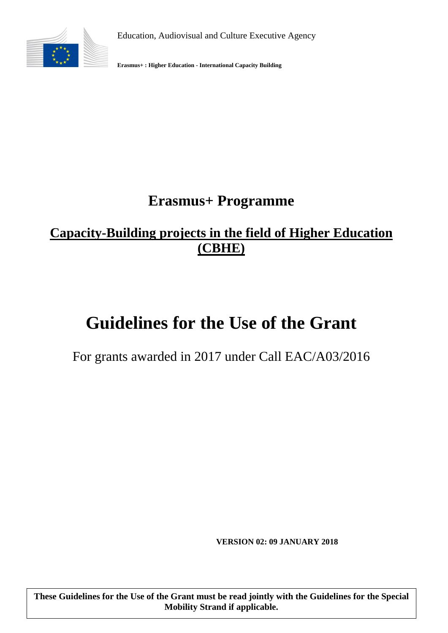Education, Audiovisual and Culture Executive Agency



**Erasmus+ : Higher Education - International Capacity Building**

# **Erasmus+ Programme**

## **[Capacity-Building projects in the field of Higher Education](http://eacea.ec.europa.eu/erasmus-plus/actions/key-action-2-cooperation-for-innovation-and-exchange-good-practices/capacity-building-projects-in-field-higher-education_en)  (CBHE)**

# **Guidelines for the Use of the Grant**

For grants awarded in 2017 under Call EAC/A03/2016

**VERSION 02: 09 JANUARY 2018** 

1

**These Guidelines for the Use of the Grant must be read jointly with the Guidelines for the Special Mobility Strand if applicable.**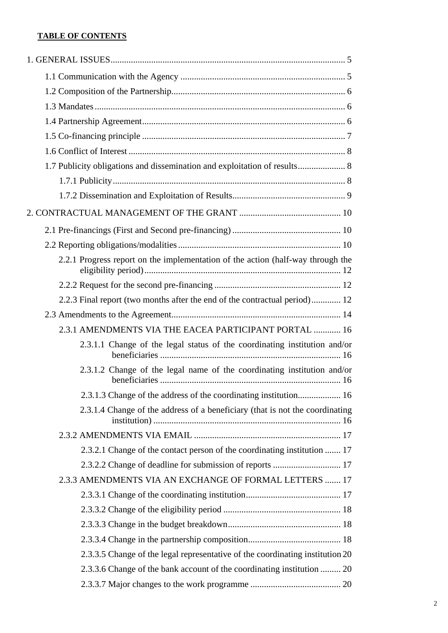## **TABLE OF CONTENTS**

| 1.7 Publicity obligations and dissemination and exploitation of results 8       |
|---------------------------------------------------------------------------------|
|                                                                                 |
|                                                                                 |
|                                                                                 |
|                                                                                 |
|                                                                                 |
| 2.2.1 Progress report on the implementation of the action (half-way through the |
|                                                                                 |
| 2.2.3 Final report (two months after the end of the contractual period) 12      |
|                                                                                 |
| 2.3.1 AMENDMENTS VIA THE EACEA PARTICIPANT PORTAL  16                           |
| 2.3.1.1 Change of the legal status of the coordinating institution and/or       |
| 2.3.1.2 Change of the legal name of the coordinating institution and/or         |
| 2.3.1.3 Change of the address of the coordinating institution 16                |
| 2.3.1.4 Change of the address of a beneficiary (that is not the coordinating    |
|                                                                                 |
| 2.3.2.1 Change of the contact person of the coordinating institution  17        |
| 2.3.2.2 Change of deadline for submission of reports  17                        |
| 2.3.3 AMENDMENTS VIA AN EXCHANGE OF FORMAL LETTERS  17                          |
|                                                                                 |
|                                                                                 |
|                                                                                 |
|                                                                                 |
| 2.3.3.5 Change of the legal representative of the coordinating institution 20   |
| 2.3.3.6 Change of the bank account of the coordinating institution  20          |
|                                                                                 |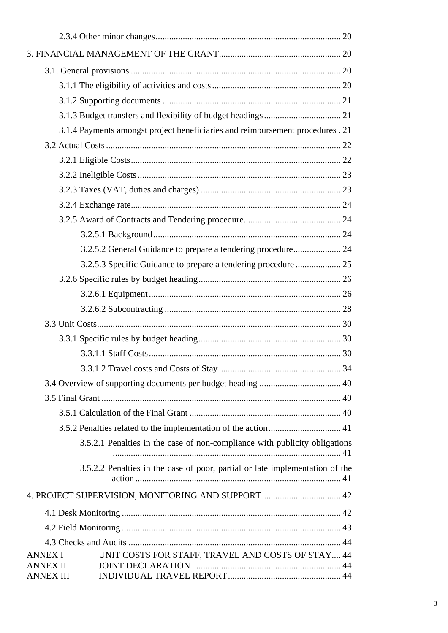|                                     | 3.1.4 Payments amongst project beneficiaries and reimbursement procedures. 21 |  |
|-------------------------------------|-------------------------------------------------------------------------------|--|
|                                     |                                                                               |  |
|                                     |                                                                               |  |
|                                     |                                                                               |  |
|                                     |                                                                               |  |
|                                     |                                                                               |  |
|                                     |                                                                               |  |
|                                     |                                                                               |  |
|                                     | 3.2.5.2 General Guidance to prepare a tendering procedure 24                  |  |
|                                     |                                                                               |  |
|                                     |                                                                               |  |
|                                     |                                                                               |  |
|                                     |                                                                               |  |
|                                     |                                                                               |  |
|                                     |                                                                               |  |
|                                     |                                                                               |  |
|                                     |                                                                               |  |
|                                     |                                                                               |  |
|                                     |                                                                               |  |
|                                     |                                                                               |  |
|                                     |                                                                               |  |
|                                     | 3.5.2.1 Penalties in the case of non-compliance with publicity obligations    |  |
|                                     | 3.5.2.2 Penalties in the case of poor, partial or late implementation of the  |  |
|                                     |                                                                               |  |
|                                     |                                                                               |  |
|                                     |                                                                               |  |
|                                     |                                                                               |  |
| ANNEX I                             | UNIT COSTS FOR STAFF, TRAVEL AND COSTS OF STAY 44                             |  |
| <b>ANNEX II</b><br><b>ANNEX III</b> |                                                                               |  |
|                                     |                                                                               |  |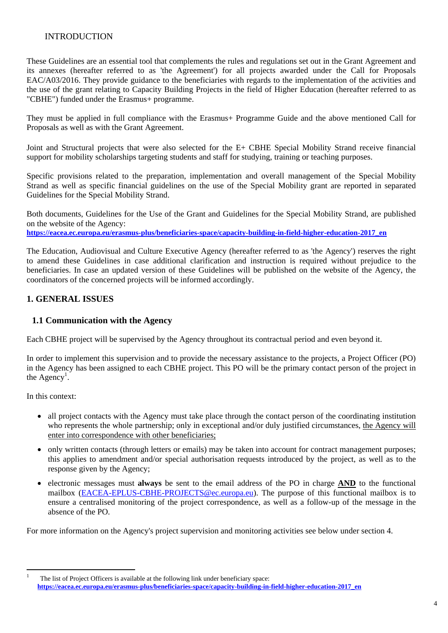## INTRODUCTION

These Guidelines are an essential tool that complements the rules and regulations set out in the Grant Agreement and its annexes (hereafter referred to as 'the Agreement') for all projects awarded under the Call for Proposals EAC/A03/2016. They provide guidance to the beneficiaries with regards to the implementation of the activities and the use of the grant relating to Capacity Building Projects in the field of Higher Education (hereafter referred to as "CBHE") funded under the Erasmus+ programme.

They must be applied in full compliance with the Erasmus+ Programme Guide and the above mentioned Call for Proposals as well as with the Grant Agreement.

Joint and Structural projects that were also selected for the E+ CBHE Special Mobility Strand receive financial support for mobility scholarships targeting students and staff for studying, training or teaching purposes.

Specific provisions related to the preparation, implementation and overall management of the Special Mobility Strand as well as specific financial guidelines on the use of the Special Mobility grant are reported in separated Guidelines for the Special Mobility Strand.

Both documents, Guidelines for the Use of the Grant and Guidelines for the Special Mobility Strand, are published on the website of the Agency:

**[https://eacea.ec.europa.eu/erasmus-plus/beneficiaries-space/capacity-building-in-field-higher-education-2017\\_en](https://eacea.ec.europa.eu/erasmus-plus/beneficiaries-space/capacity-building-in-field-higher-education-2017_en)**

The Education, Audiovisual and Culture Executive Agency (hereafter referred to as 'the Agency') reserves the right to amend these Guidelines in case additional clarification and instruction is required without prejudice to the beneficiaries. In case an updated version of these Guidelines will be published on the website of the Agency, the coordinators of the concerned projects will be informed accordingly.

## <span id="page-3-1"></span><span id="page-3-0"></span>**1. GENERAL ISSUES**

#### **1.1 Communication with the Agency**

Each CBHE project will be supervised by the Agency throughout its contractual period and even beyond it.

In order to implement this supervision and to provide the necessary assistance to the projects, a Project Officer (PO) in the Agency has been assigned to each CBHE project. This PO will be the primary contact person of the project in the Agency<sup>1</sup>.

In this context:

- all project contacts with the Agency must take place through the contact person of the coordinating institution who represents the whole partnership; only in exceptional and/or duly justified circumstances, the Agency will enter into correspondence with other beneficiaries;
- only written contacts (through letters or emails) may be taken into account for contract management purposes; this applies to amendment and/or special authorisation requests introduced by the project, as well as to the response given by the Agency;
- electronic messages must **always** be sent to the email address of the PO in charge **AND** to the functional mailbox [\(EACEA-EPLUS-CBHE-PROJECTS@ec.europa.eu\).](mailto:EACEA-EPLUS-CBHE-PROJECTS@ec.europa.eu) The purpose of this functional mailbox is to ensure a centralised monitoring of the project correspondence, as well as a follow-up of the message in the absence of the PO.

For more information on the Agency's project supervision and monitoring activities see below under section 4.

 $\frac{1}{1}$  The list of Project Officers is available at the following link under beneficiary space: **[https://eacea.ec.europa.eu/erasmus-plus/beneficiaries-space/capacity-building-in-field-higher-education-2017\\_en](https://eacea.ec.europa.eu/erasmus-plus/beneficiaries-space/capacity-building-in-field-higher-education-2017_en)**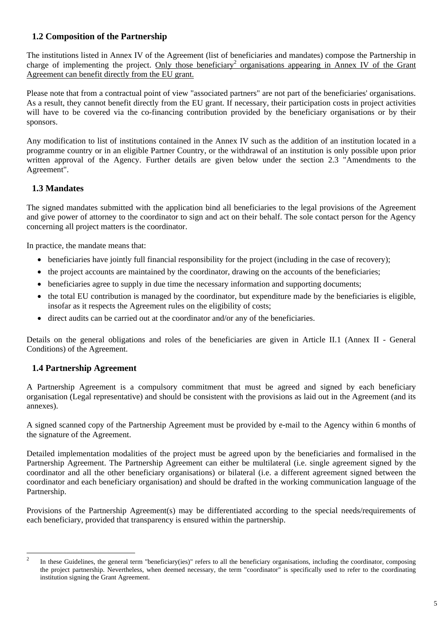## <span id="page-4-0"></span>**1.2 Composition of the Partnership**

The institutions listed in Annex IV of the Agreement (list of beneficiaries and mandates) compose the Partnership in charge of implementing the project. Only those beneficiary<sup>2</sup> organisations appearing in Annex IV of the Grant Agreement can benefit directly from the EU grant.

Please note that from a contractual point of view "associated partners" are not part of the beneficiaries' organisations. As a result, they cannot benefit directly from the EU grant. If necessary, their participation costs in project activities will have to be covered via the co-financing contribution provided by the beneficiary organisations or by their sponsors.

Any modification to list of institutions contained in the Annex IV such as the addition of an institution located in a programme country or in an eligible Partner Country, or the withdrawal of an institution is only possible upon prior written approval of the Agency. Further details are given below under the section 2.3 "Amendments to the Agreement".

## <span id="page-4-1"></span>**1.3 Mandates**

The signed mandates submitted with the application bind all beneficiaries to the legal provisions of the Agreement and give power of attorney to the coordinator to sign and act on their behalf. The sole contact person for the Agency concerning all project matters is the coordinator.

In practice, the mandate means that:

- beneficiaries have jointly full financial responsibility for the project (including in the case of recovery);
- the project accounts are maintained by the coordinator, drawing on the accounts of the beneficiaries;
- beneficiaries agree to supply in due time the necessary information and supporting documents;
- the total EU contribution is managed by the coordinator, but expenditure made by the beneficiaries is eligible, insofar as it respects the Agreement rules on the eligibility of costs;
- direct audits can be carried out at the coordinator and/or any of the beneficiaries.

Details on the general obligations and roles of the beneficiaries are given in Article II.1 (Annex II - General Conditions) of the Agreement.

#### <span id="page-4-2"></span>**1.4 Partnership Agreement**

A Partnership Agreement is a compulsory commitment that must be agreed and signed by each beneficiary organisation (Legal representative) and should be consistent with the provisions as laid out in the Agreement (and its annexes).

A signed scanned copy of the Partnership Agreement must be provided by e-mail to the Agency within 6 months of the signature of the Agreement.

Detailed implementation modalities of the project must be agreed upon by the beneficiaries and formalised in the Partnership Agreement. The Partnership Agreement can either be multilateral (i.e. single agreement signed by the coordinator and all the other beneficiary organisations) or bilateral (i.e. a different agreement signed between the coordinator and each beneficiary organisation) and should be drafted in the working communication language of the Partnership.

Provisions of the Partnership Agreement(s) may be differentiated according to the special needs/requirements of each beneficiary, provided that transparency is ensured within the partnership.

 $\frac{1}{2}$  In these Guidelines, the general term "beneficiary(ies)" refers to all the beneficiary organisations, including the coordinator, composing the project partnership. Nevertheless, when deemed necessary, the term "coordinator" is specifically used to refer to the coordinating institution signing the Grant Agreement.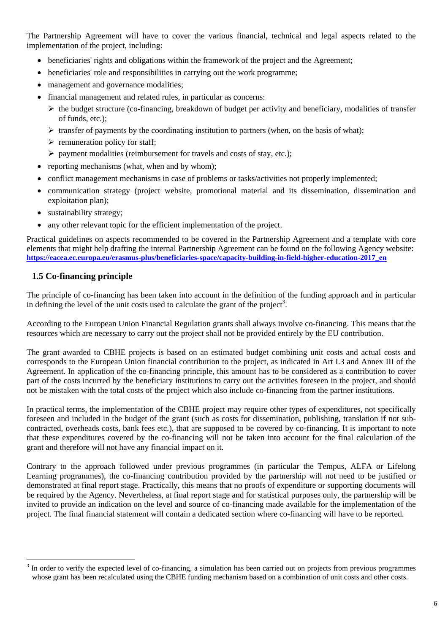The Partnership Agreement will have to cover the various financial, technical and legal aspects related to the implementation of the project, including:

- beneficiaries' rights and obligations within the framework of the project and the Agreement;
- beneficiaries' role and responsibilities in carrying out the work programme:
- management and governance modalities;
- financial management and related rules, in particular as concerns:
	- $\triangleright$  the budget structure (co-financing, breakdown of budget per activity and beneficiary, modalities of transfer of funds, etc.);
	- $\triangleright$  transfer of payments by the coordinating institution to partners (when, on the basis of what);
	- $\triangleright$  remuneration policy for staff;
	- $\triangleright$  payment modalities (reimbursement for travels and costs of stay, etc.);
- reporting mechanisms (what, when and by whom);
- conflict management mechanisms in case of problems or tasks/activities not properly implemented;
- communication strategy (project website, promotional material and its dissemination, dissemination and exploitation plan);
- sustainability strategy;
- any other relevant topic for the efficient implementation of the project.

Practical guidelines on aspects recommended to be covered in the Partnership Agreement and a template with core elements that might help drafting the internal Partnership Agreement can be found on the following Agency website: **[https://eacea.ec.europa.eu/erasmus-plus/beneficiaries-space/capacity-building-in-field-higher-education-2017\\_en](https://eacea.ec.europa.eu/erasmus-plus/beneficiaries-space/capacity-building-in-field-higher-education-2017_en)**

## <span id="page-5-0"></span>**1.5 Co-financing principle**

 $\overline{a}$ 

The principle of co-financing has been taken into account in the definition of the funding approach and in particular in defining the level of the unit costs used to calculate the grant of the project<sup>3</sup>.

According to the European Union Financial Regulation grants shall always involve co-financing. This means that the resources which are necessary to carry out the project shall not be provided entirely by the EU contribution.

The grant awarded to CBHE projects is based on an estimated budget combining unit costs and actual costs and corresponds to the European Union financial contribution to the project, as indicated in Art I.3 and Annex III of the Agreement. In application of the co-financing principle, this amount has to be considered as a contribution to cover part of the costs incurred by the beneficiary institutions to carry out the activities foreseen in the project, and should not be mistaken with the total costs of the project which also include co-financing from the partner institutions.

In practical terms, the implementation of the CBHE project may require other types of expenditures, not specifically foreseen and included in the budget of the grant (such as costs for dissemination, publishing, translation if not subcontracted, overheads costs, bank fees etc.), that are supposed to be covered by co-financing. It is important to note that these expenditures covered by the co-financing will not be taken into account for the final calculation of the grant and therefore will not have any financial impact on it.

Contrary to the approach followed under previous programmes (in particular the Tempus, ALFA or Lifelong Learning programmes), the co-financing contribution provided by the partnership will not need to be justified or demonstrated at final report stage. Practically, this means that no proofs of expenditure or supporting documents will be required by the Agency. Nevertheless, at final report stage and for statistical purposes only, the partnership will be invited to provide an indication on the level and source of co-financing made available for the implementation of the project. The final financial statement will contain a dedicated section where co-financing will have to be reported.

 $3$  In order to verify the expected level of co-financing, a simulation has been carried out on projects from previous programmes whose grant has been recalculated using the CBHE funding mechanism based on a combination of unit costs and other costs.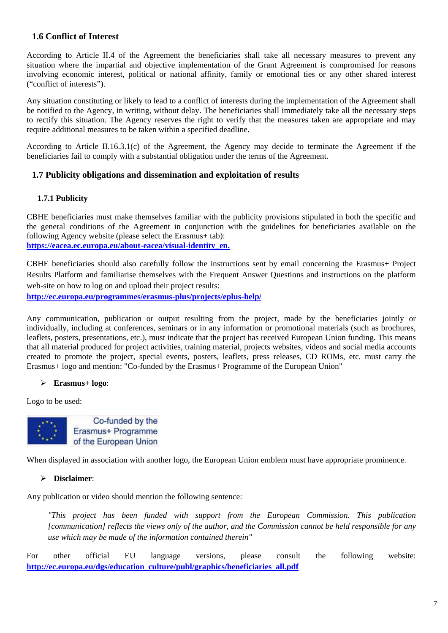## <span id="page-6-0"></span>**1.6 Conflict of Interest**

According to Article II.4 of the Agreement the beneficiaries shall take all necessary measures to prevent any situation where the impartial and objective implementation of the Grant Agreement is compromised for reasons involving economic interest, political or national affinity, family or emotional ties or any other shared interest ("conflict of interests").

Any situation constituting or likely to lead to a conflict of interests during the implementation of the Agreement shall be notified to the Agency, in writing, without delay. The beneficiaries shall immediately take all the necessary steps to rectify this situation. The Agency reserves the right to verify that the measures taken are appropriate and may require additional measures to be taken within a specified deadline.

According to Article II.16.3.1(c) of the Agreement, the Agency may decide to terminate the Agreement if the beneficiaries fail to comply with a substantial obligation under the terms of the Agreement.

#### <span id="page-6-2"></span><span id="page-6-1"></span>**1.7 Publicity obligations and dissemination and exploitation of results**

#### **1.7.1 Publicity**

CBHE beneficiaries must make themselves familiar with the publicity provisions stipulated in both the specific and the general conditions of the Agreement in conjunction with the guidelines for beneficiaries available on the following Agency website (please select the Erasmus+ tab): **[https://eacea.ec.europa.eu/about-eacea/visual-identity\\_en.](https://eacea.ec.europa.eu/about-eacea/visual-identity_en)** 

CBHE beneficiaries should also carefully follow the instructions sent by email concerning the Erasmus+ Project Results Platform and familiarise themselves with the Frequent Answer Questions and instructions on the platform web-site on how to log on and upload their project results:

**<http://ec.europa.eu/programmes/erasmus-plus/projects/eplus-help/>**

Any communication, publication or output resulting from the project, made by the beneficiaries jointly or individually, including at conferences, seminars or in any information or promotional materials (such as brochures, leaflets, posters, presentations, etc.), must indicate that the project has received European Union funding. This means that all material produced for project activities, training material, projects websites, videos and social media accounts created to promote the project, special events, posters, leaflets, press releases, CD ROMs, etc. must carry the Erasmus+ logo and mention: "Co-funded by the Erasmus+ Programme of the European Union"

#### ¾ **Erasmus+ logo**:

Logo to be used:



When displayed in association with another logo, the European Union emblem must have appropriate prominence.

#### ¾ **Disclaimer**:

Any publication or video should mention the following sentence:

*"This project has been funded with support from the European Commission. This publication [communication] reflects the views only of the author, and the Commission cannot be held responsible for any use which may be made of the information contained therein"* 

For other official EU language versions, please consult the following website: **http://ec.europa.eu/dgs/education\_culture/publ/graphics/beneficiaries\_all.pdf**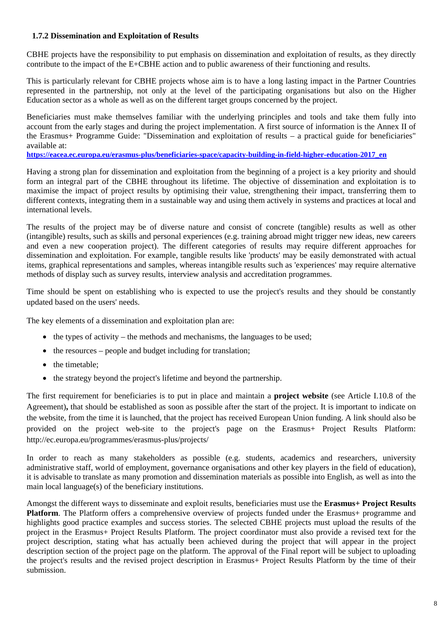#### <span id="page-7-0"></span>**1.7.2 Dissemination and Exploitation of Results**

CBHE projects have the responsibility to put emphasis on dissemination and exploitation of results, as they directly contribute to the impact of the E+CBHE action and to public awareness of their functioning and results.

This is particularly relevant for CBHE projects whose aim is to have a long lasting impact in the Partner Countries represented in the partnership, not only at the level of the participating organisations but also on the Higher Education sector as a whole as well as on the different target groups concerned by the project.

Beneficiaries must make themselves familiar with the underlying principles and tools and take them fully into account from the early stages and during the project implementation. A first source of information is the Annex II of the Erasmus+ Programme Guide: "Dissemination and exploitation of results – a practical guide for beneficiaries" available at:

**[https://eacea.ec.europa.eu/erasmus-plus/beneficiaries-space/capacity-building-in-field-higher-education-2017\\_en](https://eacea.ec.europa.eu/erasmus-plus/beneficiaries-space/capacity-building-in-field-higher-education-2017_en)**

Having a strong plan for dissemination and exploitation from the beginning of a project is a key priority and should form an integral part of the CBHE throughout its lifetime. The objective of dissemination and exploitation is to maximise the impact of project results by optimising their value, strengthening their impact, transferring them to different contexts, integrating them in a sustainable way and using them actively in systems and practices at local and international levels.

The results of the project may be of diverse nature and consist of concrete (tangible) results as well as other (intangible) results, such as skills and personal experiences (e.g. training abroad might trigger new ideas, new careers and even a new cooperation project). The different categories of results may require different approaches for dissemination and exploitation. For example, tangible results like 'products' may be easily demonstrated with actual items, graphical representations and samples, whereas intangible results such as 'experiences' may require alternative methods of display such as survey results, interview analysis and accreditation programmes.

Time should be spent on establishing who is expected to use the project's results and they should be constantly updated based on the users' needs.

The key elements of a dissemination and exploitation plan are:

- $\bullet$  the types of activity the methods and mechanisms, the languages to be used;
- the resources people and budget including for translation;
- the timetable:
- the strategy beyond the project's lifetime and beyond the partnership.

The first requirement for beneficiaries is to put in place and maintain a **project website** (see Article I.10.8 of the Agreement)**,** that should be established as soon as possible after the start of the project. It is important to indicate on the website, from the time it is launched, that the project has received European Union funding. A link should also be provided on the project web-site to the project's page on the Erasmus+ Project Results Platform: http://ec.europa.eu/programmes/erasmus-plus/projects/

In order to reach as many stakeholders as possible (e.g. students, academics and researchers, university administrative staff, world of employment, governance organisations and other key players in the field of education), it is advisable to translate as many promotion and dissemination materials as possible into English, as well as into the main local language(s) of the beneficiary institutions.

Amongst the different ways to disseminate and exploit results, beneficiaries must use the **Erasmus+ Project Results Platform**. The Platform offers a comprehensive overview of projects funded under the Erasmus+ programme and highlights good practice examples and success stories. The selected CBHE projects must upload the results of the project in the Erasmus+ Project Results Platform. The project coordinator must also provide a revised text for the project description, stating what has actually been achieved during the project that will appear in the project description section of the project page on the platform. The approval of the Final report will be subject to uploading the project's results and the revised project description in Erasmus+ Project Results Platform by the time of their submission.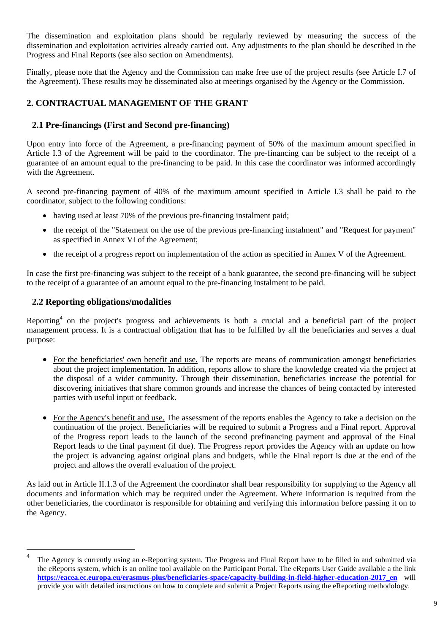The dissemination and exploitation plans should be regularly reviewed by measuring the success of the dissemination and exploitation activities already carried out. Any adjustments to the plan should be described in the Progress and Final Reports (see also section on Amendments).

Finally, please note that the Agency and the Commission can make free use of the project results (see Article I.7 of the Agreement). These results may be disseminated also at meetings organised by the Agency or the Commission.

## <span id="page-8-1"></span><span id="page-8-0"></span>**2. CONTRACTUAL MANAGEMENT OF THE GRANT**

#### **2.1 Pre-financings (First and Second pre-financing)**

Upon entry into force of the Agreement, a pre-financing payment of 50% of the maximum amount specified in Article I.3 of the Agreement will be paid to the coordinator. The pre-financing can be subject to the receipt of a guarantee of an amount equal to the pre-financing to be paid. In this case the coordinator was informed accordingly with the Agreement.

A second pre-financing payment of 40% of the maximum amount specified in Article I.3 shall be paid to the coordinator, subject to the following conditions:

- having used at least 70% of the previous pre-financing instalment paid;
- the receipt of the "Statement on the use of the previous pre-financing instalment" and "Request for payment" as specified in Annex VI of the Agreement;
- the receipt of a progress report on implementation of the action as specified in Annex V of the Agreement.

In case the first pre-financing was subject to the receipt of a bank guarantee, the second pre-financing will be subject to the receipt of a guarantee of an amount equal to the pre-financing instalment to be paid.

#### <span id="page-8-2"></span>**2.2 Reporting obligations/modalities**

 $\overline{a}$ 

Reporting<sup>4</sup> on the project's progress and achievements is both a crucial and a beneficial part of the project management process. It is a contractual obligation that has to be fulfilled by all the beneficiaries and serves a dual purpose:

- For the beneficiaries' own benefit and use. The reports are means of communication amongst beneficiaries about the project implementation. In addition, reports allow to share the knowledge created via the project at the disposal of a wider community. Through their dissemination, beneficiaries increase the potential for discovering initiatives that share common grounds and increase the chances of being contacted by interested parties with useful input or feedback.
- For the Agency's benefit and use. The assessment of the reports enables the Agency to take a decision on the continuation of the project. Beneficiaries will be required to submit a Progress and a Final report. Approval of the Progress report leads to the launch of the second prefinancing payment and approval of the Final Report leads to the final payment (if due). The Progress report provides the Agency with an update on how the project is advancing against original plans and budgets, while the Final report is due at the end of the project and allows the overall evaluation of the project.

As laid out in Article II.1.3 of the Agreement the coordinator shall bear responsibility for supplying to the Agency all documents and information which may be required under the Agreement. Where information is required from the other beneficiaries, the coordinator is responsible for obtaining and verifying this information before passing it on to the Agency.

<sup>4</sup> The Agency is currently using an e-Reporting system. The Progress and Final Report have to be filled in and submitted via the eReports system, which is an online tool available on the Participant Portal. The eReports User Guide available a the link **[https://eacea.ec.europa.eu/erasmus-plus/beneficiaries-space/capacity-building-in-field-higher-education-2017\\_en](https://eacea.ec.europa.eu/erasmus-plus/beneficiaries-space/capacity-building-in-field-higher-education-2017_en)** will provide you with detailed instructions on how to complete and submit a Project Reports using the eReporting methodology.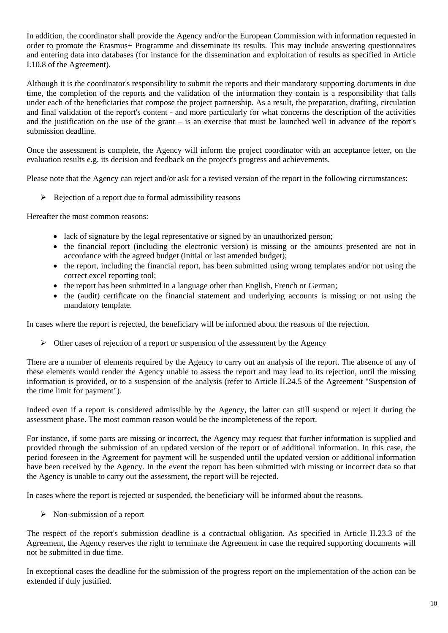In addition, the coordinator shall provide the Agency and/or the European Commission with information requested in order to promote the Erasmus+ Programme and disseminate its results. This may include answering questionnaires and entering data into databases (for instance for the dissemination and exploitation of results as specified in Article I.10.8 of the Agreement).

Although it is the coordinator's responsibility to submit the reports and their mandatory supporting documents in due time, the completion of the reports and the validation of the information they contain is a responsibility that falls under each of the beneficiaries that compose the project partnership. As a result, the preparation, drafting, circulation and final validation of the report's content - and more particularly for what concerns the description of the activities and the justification on the use of the grant – is an exercise that must be launched well in advance of the report's submission deadline.

Once the assessment is complete, the Agency will inform the project coordinator with an acceptance letter, on the evaluation results e.g. its decision and feedback on the project's progress and achievements.

Please note that the Agency can reject and/or ask for a revised version of the report in the following circumstances:

 $\triangleright$  Rejection of a report due to formal admissibility reasons

Hereafter the most common reasons:

- lack of signature by the legal representative or signed by an unauthorized person;
- the financial report (including the electronic version) is missing or the amounts presented are not in accordance with the agreed budget (initial or last amended budget);
- the report, including the financial report, has been submitted using wrong templates and/or not using the correct excel reporting tool;
- the report has been submitted in a language other than English, French or German;
- the (audit) certificate on the financial statement and underlying accounts is missing or not using the mandatory template.

In cases where the report is rejected, the beneficiary will be informed about the reasons of the rejection.

 $\triangleright$  Other cases of rejection of a report or suspension of the assessment by the Agency

There are a number of elements required by the Agency to carry out an analysis of the report. The absence of any of these elements would render the Agency unable to assess the report and may lead to its rejection, until the missing information is provided, or to a suspension of the analysis (refer to Article II.24.5 of the Agreement "Suspension of the time limit for payment").

Indeed even if a report is considered admissible by the Agency, the latter can still suspend or reject it during the assessment phase. The most common reason would be the incompleteness of the report.

For instance, if some parts are missing or incorrect, the Agency may request that further information is supplied and provided through the submission of an updated version of the report or of additional information. In this case, the period foreseen in the Agreement for payment will be suspended until the updated version or additional information have been received by the Agency. In the event the report has been submitted with missing or incorrect data so that the Agency is unable to carry out the assessment, the report will be rejected.

In cases where the report is rejected or suspended, the beneficiary will be informed about the reasons.

 $\triangleright$  Non-submission of a report

The respect of the report's submission deadline is a contractual obligation. As specified in Article II.23.3 of the Agreement, the Agency reserves the right to terminate the Agreement in case the required supporting documents will not be submitted in due time.

In exceptional cases the deadline for the submission of the progress report on the implementation of the action can be extended if duly justified.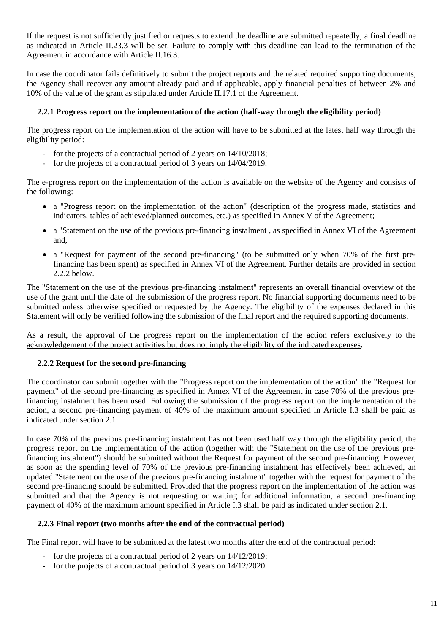If the request is not sufficiently justified or requests to extend the deadline are submitted repeatedly, a final deadline as indicated in Article II.23.3 will be set. Failure to comply with this deadline can lead to the termination of the Agreement in accordance with Article II.16.3.

In case the coordinator fails definitively to submit the project reports and the related required supporting documents, the Agency shall recover any amount already paid and if applicable, apply financial penalties of between 2% and 10% of the value of the grant as stipulated under Article II.17.1 of the Agreement.

#### <span id="page-10-0"></span>**2.2.1 Progress report on the implementation of the action (half-way through the eligibility period)**

The progress report on the implementation of the action will have to be submitted at the latest half way through the eligibility period:

- for the projects of a contractual period of 2 years on 14/10/2018;
- for the projects of a contractual period of 3 years on 14/04/2019.

The e-progress report on the implementation of the action is available on the website of the Agency and consists of the following:

- a "Progress report on the implementation of the action" (description of the progress made, statistics and indicators, tables of achieved/planned outcomes, etc.) as specified in Annex V of the Agreement;
- a "Statement on the use of the previous pre-financing instalment , as specified in Annex VI of the Agreement and,
- a "Request for payment of the second pre-financing" (to be submitted only when 70% of the first prefinancing has been spent) as specified in Annex VI of the Agreement. Further details are provided in section 2.2.2 below.

The "Statement on the use of the previous pre-financing instalment" represents an overall financial overview of the use of the grant until the date of the submission of the progress report. No financial supporting documents need to be submitted unless otherwise specified or requested by the Agency. The eligibility of the expenses declared in this Statement will only be verified following the submission of the final report and the required supporting documents.

<span id="page-10-1"></span>As a result, the approval of the progress report on the implementation of the action refers exclusively to the acknowledgement of the project activities but does not imply the eligibility of the indicated expenses.

#### **2.2.2 Request for the second pre-financing**

The coordinator can submit together with the "Progress report on the implementation of the action" the "Request for payment" of the second pre-financing as specified in Annex VI of the Agreement in case 70% of the previous prefinancing instalment has been used. Following the submission of the progress report on the implementation of the action, a second pre-financing payment of 40% of the maximum amount specified in Article I.3 shall be paid as indicated under section 2.1.

In case 70% of the previous pre-financing instalment has not been used half way through the eligibility period, the progress report on the implementation of the action (together with the "Statement on the use of the previous prefinancing instalment") should be submitted without the Request for payment of the second pre-financing. However, as soon as the spending level of 70% of the previous pre-financing instalment has effectively been achieved, an updated "Statement on the use of the previous pre-financing instalment" together with the request for payment of the second pre-financing should be submitted. Provided that the progress report on the implementation of the action was submitted and that the Agency is not requesting or waiting for additional information, a second pre-financing payment of 40% of the maximum amount specified in Article I.3 shall be paid as indicated under section 2.1.

#### <span id="page-10-2"></span>**2.2.3 Final report (two months after the end of the contractual period)**

The Final report will have to be submitted at the latest two months after the end of the contractual period:

- for the projects of a contractual period of 2 years on 14/12/2019;
- for the projects of a contractual period of 3 years on 14/12/2020.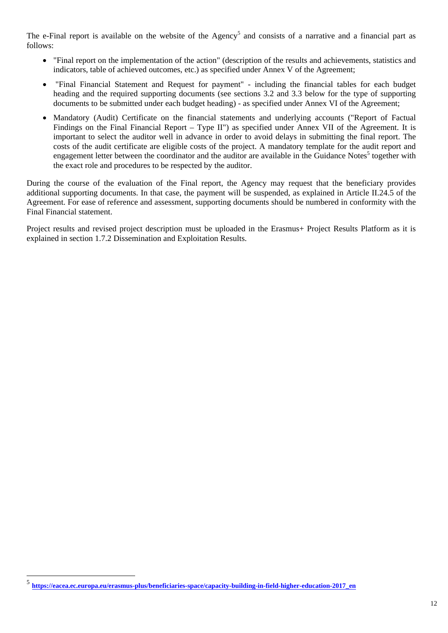The e-Final report is available on the website of the Agency<sup>5</sup> and consists of a narrative and a financial part as follows:

- "Final report on the implementation of the action" (description of the results and achievements, statistics and indicators, table of achieved outcomes, etc.) as specified under Annex V of the Agreement;
- "Final Financial Statement and Request for payment" including the financial tables for each budget heading and the required supporting documents (see sections 3.2 and 3.3 below for the type of supporting documents to be submitted under each budget heading) - as specified under Annex VI of the Agreement;
- Mandatory (Audit) Certificate on the financial statements and underlying accounts ("Report of Factual Findings on the Final Financial Report – Type II") as specified under Annex VII of the Agreement. It is important to select the auditor well in advance in order to avoid delays in submitting the final report. The costs of the audit certificate are eligible costs of the project. A mandatory template for the audit report and engagement letter between the coordinator and the auditor are available in the Guidance Notes<sup>5</sup> together with the exact role and procedures to be respected by the auditor.

During the course of the evaluation of the Final report, the Agency may request that the beneficiary provides additional supporting documents. In that case, the payment will be suspended, as explained in Article II.24.5 of the Agreement. For ease of reference and assessment, supporting documents should be numbered in conformity with the Final Financial statement.

Project results and revised project description must be uploaded in the Erasmus+ Project Results Platform as it is explained in section 1.7.2 Dissemination and Exploitation Results.

 $\overline{a}$ 

<sup>5</sup> **[https://eacea.ec.europa.eu/erasmus-plus/beneficiaries-space/capacity-bui](https://eacea.ec.europa.eu/erasmus-plus/beneficiaries-space/capacity-building-in-field-higher-education-2017_en)lding-in-field-higher-education-2017\_en**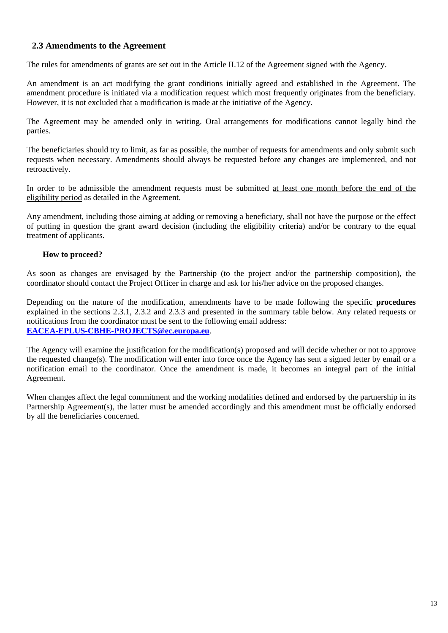## <span id="page-12-0"></span>**2.3 Amendments to the Agreement**

The rules for amendments of grants are set out in the Article II.12 of the Agreement signed with the Agency.

An amendment is an act modifying the grant conditions initially agreed and established in the Agreement. The amendment procedure is initiated via a modification request which most frequently originates from the beneficiary. However, it is not excluded that a modification is made at the initiative of the Agency.

The Agreement may be amended only in writing. Oral arrangements for modifications cannot legally bind the parties.

The beneficiaries should try to limit, as far as possible, the number of requests for amendments and only submit such requests when necessary. Amendments should always be requested before any changes are implemented, and not retroactively.

In order to be admissible the amendment requests must be submitted at least one month before the end of the eligibility period as detailed in the Agreement.

Any amendment, including those aiming at adding or removing a beneficiary, shall not have the purpose or the effect of putting in question the grant award decision (including the eligibility criteria) and/or be contrary to the equal treatment of applicants.

#### **How to proceed?**

As soon as changes are envisaged by the Partnership (to the project and/or the partnership composition), the coordinator should contact the Project Officer in charge and ask for his/her advice on the proposed changes.

Depending on the nature of the modification, amendments have to be made following the specific **procedures** explained in the sections 2.3.1, 2.3.2 and 2.3.3 and presented in the summary table below. Any related requests or notifications from the coordinator must be sent to the following email address: **EACEA-EPLUS-CBHE-PROJECTS@ec.europa.eu**.

The Agency will examine the justification for the modification(s) proposed and will decide whether or not to approve the requested change(s). The modification will enter into force once the Agency has sent a signed letter by email or a notification email to the coordinator. Once the amendment is made, it becomes an integral part of the initial Agreement.

When changes affect the legal commitment and the working modalities defined and endorsed by the partnership in its Partnership Agreement(s), the latter must be amended accordingly and this amendment must be officially endorsed by all the beneficiaries concerned.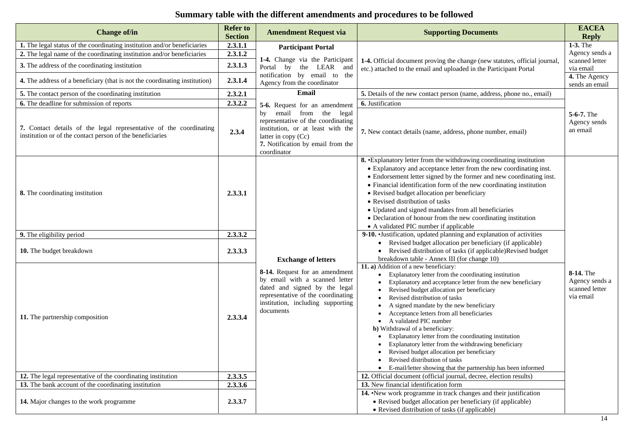## **Summary table with the different amendments and procedures to be followed**

| <b>Change of/in</b>                                                                                                                                                                                                                                                                       | <b>Refer to</b><br><b>Section</b>        | <b>Amendment Request via</b>                                                                                                                                                              | <b>Supporting Documents</b>                                                                                                                                                                                                                                                                                                                                                                                                                                                                                                                                                                                                                                                                                                               | <b>EACEA</b><br><b>Reply</b>                                               |
|-------------------------------------------------------------------------------------------------------------------------------------------------------------------------------------------------------------------------------------------------------------------------------------------|------------------------------------------|-------------------------------------------------------------------------------------------------------------------------------------------------------------------------------------------|-------------------------------------------------------------------------------------------------------------------------------------------------------------------------------------------------------------------------------------------------------------------------------------------------------------------------------------------------------------------------------------------------------------------------------------------------------------------------------------------------------------------------------------------------------------------------------------------------------------------------------------------------------------------------------------------------------------------------------------------|----------------------------------------------------------------------------|
| 1. The legal status of the coordinating institution and/or beneficiaries<br>2. The legal name of the coordinating institution and/or beneficiaries<br>3. The address of the coordinating institution<br><b>4.</b> The address of a beneficiary (that is not the coordinating institution) | 2.3.1.1<br>2.3.1.2<br>2.3.1.3<br>2.3.1.4 | <b>Participant Portal</b><br>1-4. Change via the Participant<br>Portal by the LEAR and<br>notification by email to the<br>Agency from the coordinator                                     | 1-4. Official document proving the change (new statutes, official journal,<br>etc.) attached to the email and uploaded in the Participant Portal                                                                                                                                                                                                                                                                                                                                                                                                                                                                                                                                                                                          | 1-3. The<br>Agency sends a<br>scanned letter<br>via email<br>4. The Agency |
| 5. The contact person of the coordinating institution                                                                                                                                                                                                                                     | 2.3.2.1                                  | Email                                                                                                                                                                                     | <b>5.</b> Details of the new contact person (name, address, phone no., email)                                                                                                                                                                                                                                                                                                                                                                                                                                                                                                                                                                                                                                                             | sends an email                                                             |
| 6. The deadline for submission of reports                                                                                                                                                                                                                                                 | 2.3.2.2                                  | 5-6. Request for an amendment                                                                                                                                                             | 6. Justification                                                                                                                                                                                                                                                                                                                                                                                                                                                                                                                                                                                                                                                                                                                          |                                                                            |
| 7. Contact details of the legal representative of the coordinating<br>institution or of the contact person of the beneficiaries                                                                                                                                                           | 2.3.4                                    | email from the legal<br>by<br>representative of the coordinating<br>institution, or at least with the<br>latter in copy (Cc)<br>7. Notification by email from the<br>coordinator          | 7. New contact details (name, address, phone number, email)                                                                                                                                                                                                                                                                                                                                                                                                                                                                                                                                                                                                                                                                               | $5-6-7$ . The<br>Agency sends<br>an email                                  |
| 8. The coordinating institution                                                                                                                                                                                                                                                           | 2.3.3.1                                  |                                                                                                                                                                                           | 8. • Explanatory letter from the withdrawing coordinating institution<br>• Explanatory and acceptance letter from the new coordinating inst.<br>• Endorsement letter signed by the former and new coordinating inst.<br>• Financial identification form of the new coordinating institution<br>• Revised budget allocation per beneficiary<br>• Revised distribution of tasks<br>• Updated and signed mandates from all beneficiaries<br>• Declaration of honour from the new coordinating institution<br>• A validated PIC number if applicable                                                                                                                                                                                          |                                                                            |
| 9. The eligibility period                                                                                                                                                                                                                                                                 | 2.3.3.2                                  |                                                                                                                                                                                           | 9-10. Justification, updated planning and explanation of activities                                                                                                                                                                                                                                                                                                                                                                                                                                                                                                                                                                                                                                                                       |                                                                            |
| 10. The budget breakdown                                                                                                                                                                                                                                                                  | 2.3.3.3                                  | <b>Exchange of letters</b>                                                                                                                                                                | Revised budget allocation per beneficiary (if applicable)<br>• Revised distribution of tasks (if applicable)Revised budget<br>breakdown table - Annex III (for change 10)                                                                                                                                                                                                                                                                                                                                                                                                                                                                                                                                                                 |                                                                            |
| 11. The partnership composition<br>12. The legal representative of the coordinating institution                                                                                                                                                                                           | 2.3.3.4<br>2.3.3.5                       | 8-14. Request for an amendment<br>by email with a scanned letter<br>dated and signed by the legal<br>representative of the coordinating<br>institution, including supporting<br>documents | 11. a) Addition of a new beneficiary:<br>Explanatory letter from the coordinating institution<br>Explanatory and acceptance letter from the new beneficiary<br>Revised budget allocation per beneficiary<br>Revised distribution of tasks<br>A signed mandate by the new beneficiary<br>Acceptance letters from all beneficiaries<br>A validated PIC number<br><b>b</b> ) Withdrawal of a beneficiary:<br>Explanatory letter from the coordinating institution<br>Explanatory letter from the withdrawing beneficiary<br>Revised budget allocation per beneficiary<br>Revised distribution of tasks<br>E-mail/letter showing that the partnership has been informed<br>12. Official document (official journal, decree, election results) | 8-14. The<br>Agency sends a<br>scanned letter<br>via email                 |
| 13. The bank account of the coordinating institution                                                                                                                                                                                                                                      | 2.3.3.6                                  |                                                                                                                                                                                           | 13. New financial identification form                                                                                                                                                                                                                                                                                                                                                                                                                                                                                                                                                                                                                                                                                                     |                                                                            |
| <b>14.</b> Major changes to the work programme                                                                                                                                                                                                                                            | 2.3.3.7                                  |                                                                                                                                                                                           | 14. New work programme in track changes and their justification<br>• Revised budget allocation per beneficiary (if applicable)<br>• Revised distribution of tasks (if applicable)                                                                                                                                                                                                                                                                                                                                                                                                                                                                                                                                                         |                                                                            |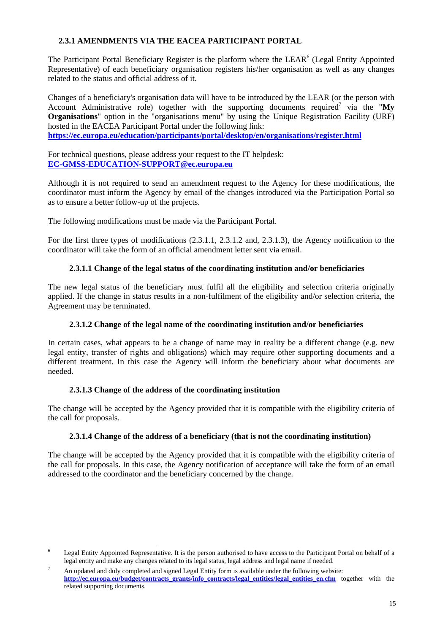#### **2.3.1 AMENDMENTS VIA THE EACEA PARTICIPANT PORTAL**

<span id="page-14-0"></span>The Participant Portal Beneficiary Register is the platform where the LEAR<sup>6</sup> (Legal Entity Appointed Representative) of each beneficiary organisation registers his/her organisation as well as any changes related to the status and official address of it.

Changes of a beneficiary's organisation data will have to be introduced by the LEAR (or the person with Account Administrative role) together with the supporting documents required<sup>7</sup> via the "My **Organisations**" option in the "organisations menu" by using the Unique Registration Facility (URF) hosted in the EACEA Participant Portal under the following link: **<https://ec.europa.eu/education/participants/portal/desktop/en/organisations/register.html>**

For technical questions, please address your request to the IT helpdesk: **EC-GMSS-EDUCATION-SUPPORT@ec.europa.eu**

Although it is not required to send an amendment request to the Agency for these modifications, the coordinator must inform the Agency by email of the changes introduced via the Participation Portal so as to ensure a better follow-up of the projects.

The following modifications must be made via the Participant Portal.

<span id="page-14-1"></span>For the first three types of modifications (2.3.1.1, 2.3.1.2 and, 2.3.1.3), the Agency notification to the coordinator will take the form of an official amendment letter sent via email.

## **2.3.1.1 Change of the legal status of the coordinating institution and/or beneficiaries**

<span id="page-14-2"></span>The new legal status of the beneficiary must fulfil all the eligibility and selection criteria originally applied. If the change in status results in a non-fulfilment of the eligibility and/or selection criteria, the Agreement may be terminated.

#### **2.3.1.2 Change of the legal name of the coordinating institution and/or beneficiaries**

In certain cases, what appears to be a change of name may in reality be a different change (e.g. new legal entity, transfer of rights and obligations) which may require other supporting documents and a different treatment. In this case the Agency will inform the beneficiary about what documents are needed.

#### **2.3.1.3 Change of the address of the coordinating institution**

<span id="page-14-4"></span><span id="page-14-3"></span>The change will be accepted by the Agency provided that it is compatible with the eligibility criteria of the call for proposals.

#### **2.3.1.4 Change of the address of a beneficiary (that is not the coordinating institution)**

The change will be accepted by the Agency provided that it is compatible with the eligibility criteria of the call for proposals. In this case, the Agency notification of acceptance will take the form of an email addressed to the coordinator and the beneficiary concerned by the change.

<sup>1</sup> 6 Legal Entity Appointed Representative. It is the person authorised to have access to the Participant Portal on behalf of a legal entity and make any changes related to its legal status, legal address and legal name if needed.

<sup>7</sup> An updated and duly completed and signed Legal Entity form is available under the following website: [http://ec.europa.eu/budget/contracts\\_grants/info\\_contracts/legal\\_entities/legal\\_entities\\_en.cfm](http://ec.europa.eu/budget/contracts_grants/info_contracts/legal_entities/legal_entities_en.cfm) together with the related supporting documents.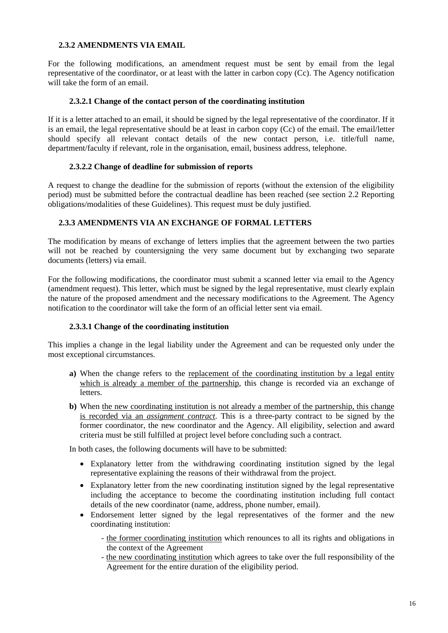#### **2.3.2 AMENDMENTS VIA EMAIL**

<span id="page-15-0"></span>For the following modifications, an amendment request must be sent by email from the legal representative of the coordinator, or at least with the latter in carbon copy (Cc). The Agency notification will take the form of an email.

#### **2.3.2.1 Change of the contact person of the coordinating institution**

<span id="page-15-1"></span>If it is a letter attached to an email, it should be signed by the legal representative of the coordinator. If it is an email, the legal representative should be at least in carbon copy (Cc) of the email. The email/letter should specify all relevant contact details of the new contact person, i.e. title/full name, department/faculty if relevant, role in the organisation, email, business address, telephone.

#### **2.3.2.2 Change of deadline for submission of reports**

<span id="page-15-2"></span>A request to change the deadline for the submission of reports (without the extension of the eligibility period) must be submitted before the contractual deadline has been reached (see section 2.2 Reporting obligations/modalities of these Guidelines). This request must be duly justified.

#### **2.3.3 AMENDMENTS VIA AN EXCHANGE OF FORMAL LETTERS**

<span id="page-15-3"></span>The modification by means of exchange of letters implies that the agreement between the two parties will not be reached by countersigning the very same document but by exchanging two separate documents (letters) via email.

For the following modifications, the coordinator must submit a scanned letter via email to the Agency (amendment request). This letter, which must be signed by the legal representative, must clearly explain the nature of the proposed amendment and the necessary modifications to the Agreement. The Agency notification to the coordinator will take the form of an official letter sent via email.

#### **2.3.3.1 Change of the coordinating institution**

<span id="page-15-4"></span>This implies a change in the legal liability under the Agreement and can be requested only under the most exceptional circumstances.

- **a)** When the change refers to the replacement of the coordinating institution by a legal entity which is already a member of the partnership, this change is recorded via an exchange of **letters**
- **b)** When the new coordinating institution is not already a member of the partnership, this change is recorded via an *assignment contract*. This is a three-party contract to be signed by the former coordinator, the new coordinator and the Agency. All eligibility, selection and award criteria must be still fulfilled at project level before concluding such a contract.

In both cases, the following documents will have to be submitted:

- Explanatory letter from the withdrawing coordinating institution signed by the legal representative explaining the reasons of their withdrawal from the project.
- Explanatory letter from the new coordinating institution signed by the legal representative including the acceptance to become the coordinating institution including full contact details of the new coordinator (name, address, phone number, email).
- Endorsement letter signed by the legal representatives of the former and the new coordinating institution:
	- the former coordinating institution which renounces to all its rights and obligations in the context of the Agreement
	- the new coordinating institution which agrees to take over the full responsibility of the Agreement for the entire duration of the eligibility period.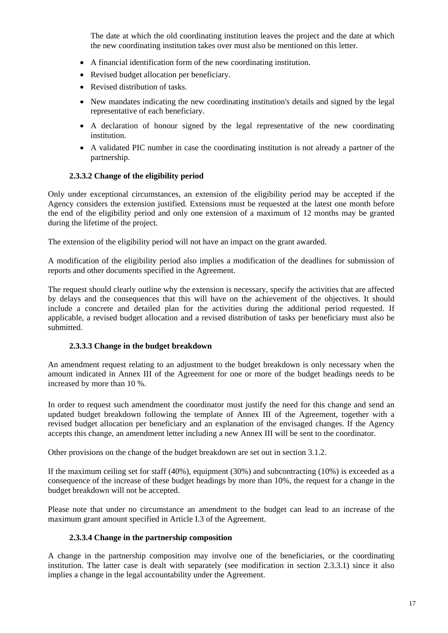The date at which the old coordinating institution leaves the project and the date at which the new coordinating institution takes over must also be mentioned on this letter.

- A financial identification form of the new coordinating institution.
- Revised budget allocation per beneficiary.
- Revised distribution of tasks.
- New mandates indicating the new coordinating institution's details and signed by the legal representative of each beneficiary.
- A declaration of honour signed by the legal representative of the new coordinating institution.
- A validated PIC number in case the coordinating institution is not already a partner of the partnership.

#### **2.3.3.2 Change of the eligibility period**

<span id="page-16-0"></span>Only under exceptional circumstances, an extension of the eligibility period may be accepted if the Agency considers the extension justified. Extensions must be requested at the latest one month before the end of the eligibility period and only one extension of a maximum of 12 months may be granted during the lifetime of the project.

The extension of the eligibility period will not have an impact on the grant awarded.

A modification of the eligibility period also implies a modification of the deadlines for submission of reports and other documents specified in the Agreement.

The request should clearly outline why the extension is necessary, specify the activities that are affected by delays and the consequences that this will have on the achievement of the objectives. It should include a concrete and detailed plan for the activities during the additional period requested. If applicable, a revised budget allocation and a revised distribution of tasks per beneficiary must also be submitted.

#### **2.3.3.3 Change in the budget breakdown**

<span id="page-16-1"></span>An amendment request relating to an adjustment to the budget breakdown is only necessary when the amount indicated in Annex III of the Agreement for one or more of the budget headings needs to be increased by more than 10 %.

In order to request such amendment the coordinator must justify the need for this change and send an updated budget breakdown following the template of Annex III of the Agreement, together with a revised budget allocation per beneficiary and an explanation of the envisaged changes. If the Agency accepts this change, an amendment letter including a new Annex III will be sent to the coordinator.

Other provisions on the change of the budget breakdown are set out in section 3.1.2.

If the maximum ceiling set for staff (40%), equipment (30%) and subcontracting (10%) is exceeded as a consequence of the increase of these budget headings by more than 10%, the request for a change in the budget breakdown will not be accepted.

<span id="page-16-2"></span>Please note that under no circumstance an amendment to the budget can lead to an increase of the maximum grant amount specified in Article I.3 of the Agreement.

#### **2.3.3.4 Change in the partnership composition**

A change in the partnership composition may involve one of the beneficiaries, or the coordinating institution. The latter case is dealt with separately (see modification in section 2.3.3.1) since it also implies a change in the legal accountability under the Agreement.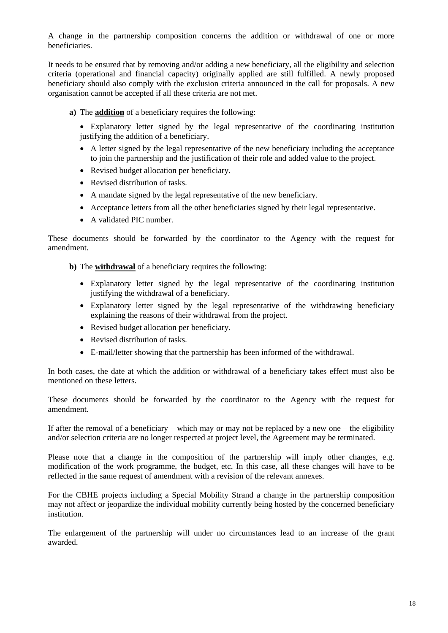A change in the partnership composition concerns the addition or withdrawal of one or more beneficiaries.

It needs to be ensured that by removing and/or adding a new beneficiary, all the eligibility and selection criteria (operational and financial capacity) originally applied are still fulfilled. A newly proposed beneficiary should also comply with the exclusion criteria announced in the call for proposals. A new organisation cannot be accepted if all these criteria are not met.

- **a)** The **addition** of a beneficiary requires the following:
	- Explanatory letter signed by the legal representative of the coordinating institution justifying the addition of a beneficiary.
	- A letter signed by the legal representative of the new beneficiary including the acceptance to join the partnership and the justification of their role and added value to the project.
	- Revised budget allocation per beneficiary.
	- Revised distribution of tasks.
	- A mandate signed by the legal representative of the new beneficiary.
	- Acceptance letters from all the other beneficiaries signed by their legal representative.
	- A validated PIC number.

These documents should be forwarded by the coordinator to the Agency with the request for amendment.

**b)** The **withdrawal** of a beneficiary requires the following:

- Explanatory letter signed by the legal representative of the coordinating institution justifying the withdrawal of a beneficiary.
- Explanatory letter signed by the legal representative of the withdrawing beneficiary explaining the reasons of their withdrawal from the project.
- Revised budget allocation per beneficiary.
- Revised distribution of tasks.
- E-mail/letter showing that the partnership has been informed of the withdrawal.

In both cases, the date at which the addition or withdrawal of a beneficiary takes effect must also be mentioned on these letters.

These documents should be forwarded by the coordinator to the Agency with the request for amendment.

If after the removal of a beneficiary – which may or may not be replaced by a new one – the eligibility and/or selection criteria are no longer respected at project level, the Agreement may be terminated.

Please note that a change in the composition of the partnership will imply other changes, e.g. modification of the work programme, the budget, etc. In this case, all these changes will have to be reflected in the same request of amendment with a revision of the relevant annexes.

For the CBHE projects including a Special Mobility Strand a change in the partnership composition may not affect or jeopardize the individual mobility currently being hosted by the concerned beneficiary institution.

The enlargement of the partnership will under no circumstances lead to an increase of the grant awarded.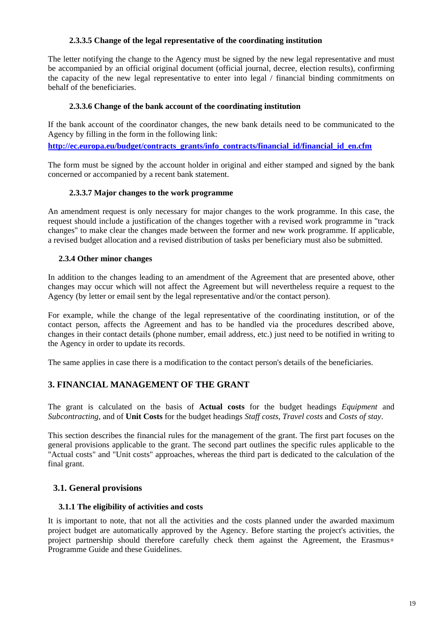#### **2.3.3.5 Change of the legal representative of the coordinating institution**

<span id="page-18-0"></span>The letter notifying the change to the Agency must be signed by the new legal representative and must be accompanied by an official original document (official journal, decree, election results), confirming the capacity of the new legal representative to enter into legal / financial binding commitments on behalf of the beneficiaries.

#### **2.3.3.6 Change of the bank account of the coordinating institution**

<span id="page-18-1"></span>If the bank account of the coordinator changes, the new bank details need to be communicated to the Agency by filling in the form in the following link:

**[http://ec.europa.eu/budget/contracts\\_grants/info\\_contracts/financial\\_id/financial\\_id\\_en.cfm](http://ec.europa.eu/budget/contracts_grants/info_contracts/financial_id/financial_id_en.cfm)**

The form must be signed by the account holder in original and either stamped and signed by the bank concerned or accompanied by a recent bank statement.

#### **2.3.3.7 Major changes to the work programme**

An amendment request is only necessary for major changes to the work programme. In this case, the request should include a justification of the changes together with a revised work programme in "track changes" to make clear the changes made between the former and new work programme. If applicable, a revised budget allocation and a revised distribution of tasks per beneficiary must also be submitted.

#### **2.3.4 Other minor changes**

<span id="page-18-2"></span>In addition to the changes leading to an amendment of the Agreement that are presented above, other changes may occur which will not affect the Agreement but will nevertheless require a request to the Agency (by letter or email sent by the legal representative and/or the contact person).

For example, while the change of the legal representative of the coordinating institution, or of the contact person, affects the Agreement and has to be handled via the procedures described above, changes in their contact details (phone number, email address, etc.) just need to be notified in writing to the Agency in order to update its records.

The same applies in case there is a modification to the contact person's details of the beneficiaries.

## <span id="page-18-3"></span>**3. FINANCIAL MANAGEMENT OF THE GRANT**

The grant is calculated on the basis of **Actual costs** for the budget headings *Equipment* and *Subcontracting*, and of **Unit Costs** for the budget headings *Staff costs*, *Travel costs* and *Costs of stay*.

This section describes the financial rules for the management of the grant. The first part focuses on the general provisions applicable to the grant. The second part outlines the specific rules applicable to the "Actual costs" and "Unit costs" approaches, whereas the third part is dedicated to the calculation of the final grant.

#### <span id="page-18-5"></span><span id="page-18-4"></span>**3.1. General provisions**

#### **3.1.1 The eligibility of activities and costs**

It is important to note, that not all the activities and the costs planned under the awarded maximum project budget are automatically approved by the Agency. Before starting the project's activities, the project partnership should therefore carefully check them against the Agreement, the Erasmus+ Programme Guide and these Guidelines.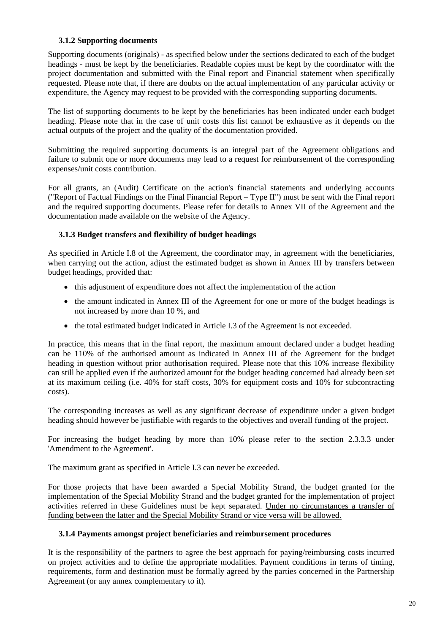#### **3.1.2 Supporting documents**

<span id="page-19-0"></span>Supporting documents (originals) - as specified below under the sections dedicated to each of the budget headings - must be kept by the beneficiaries. Readable copies must be kept by the coordinator with the project documentation and submitted with the Final report and Financial statement when specifically requested. Please note that, if there are doubts on the actual implementation of any particular activity or expenditure, the Agency may request to be provided with the corresponding supporting documents.

The list of supporting documents to be kept by the beneficiaries has been indicated under each budget heading. Please note that in the case of unit costs this list cannot be exhaustive as it depends on the actual outputs of the project and the quality of the documentation provided.

Submitting the required supporting documents is an integral part of the Agreement obligations and failure to submit one or more documents may lead to a request for reimbursement of the corresponding expenses/unit costs contribution.

For all grants, an (Audit) Certificate on the action's financial statements and underlying accounts ("Report of Factual Findings on the Final Financial Report – Type II") must be sent with the Final report and the required supporting documents. Please refer for details to Annex VII of the Agreement and the documentation made available on the website of the Agency.

#### **3.1.3 Budget transfers and flexibility of budget headings**

<span id="page-19-1"></span>As specified in Article I.8 of the Agreement, the coordinator may, in agreement with the beneficiaries, when carrying out the action, adjust the estimated budget as shown in Annex III by transfers between budget headings, provided that:

- this adjustment of expenditure does not affect the implementation of the action
- the amount indicated in Annex III of the Agreement for one or more of the budget headings is not increased by more than 10 %, and
- the total estimated budget indicated in Article I.3 of the Agreement is not exceeded.

In practice, this means that in the final report, the maximum amount declared under a budget heading can be 110% of the authorised amount as indicated in Annex III of the Agreement for the budget heading in question without prior authorisation required. Please note that this 10% increase flexibility can still be applied even if the authorized amount for the budget heading concerned had already been set at its maximum ceiling (i.e. 40% for staff costs, 30% for equipment costs and 10% for subcontracting costs).

The corresponding increases as well as any significant decrease of expenditure under a given budget heading should however be justifiable with regards to the objectives and overall funding of the project.

For increasing the budget heading by more than 10% please refer to the section 2.3.3.3 under 'Amendment to the Agreement'.

The maximum grant as specified in Article I.3 can never be exceeded.

For those projects that have been awarded a Special Mobility Strand, the budget granted for the implementation of the Special Mobility Strand and the budget granted for the implementation of project activities referred in these Guidelines must be kept separated. Under no circumstances a transfer of funding between the latter and the Special Mobility Strand or vice versa will be allowed.

#### **3.1.4 Payments amongst project beneficiaries and reimbursement procedures**

<span id="page-19-2"></span>It is the responsibility of the partners to agree the best approach for paying/reimbursing costs incurred on project activities and to define the appropriate modalities. Payment conditions in terms of timing, requirements, form and destination must be formally agreed by the parties concerned in the Partnership Agreement (or any annex complementary to it).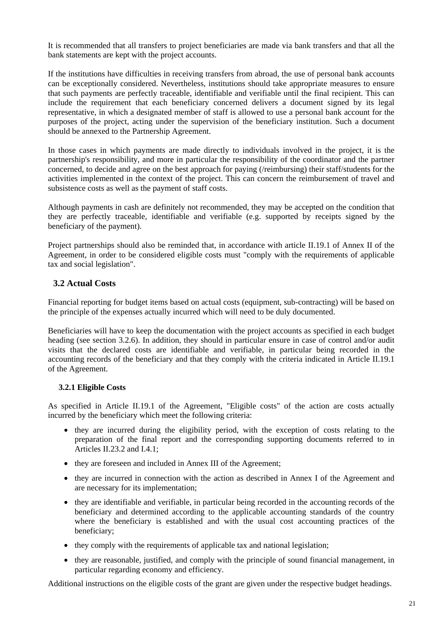It is recommended that all transfers to project beneficiaries are made via bank transfers and that all the bank statements are kept with the project accounts.

If the institutions have difficulties in receiving transfers from abroad, the use of personal bank accounts can be exceptionally considered. Nevertheless, institutions should take appropriate measures to ensure that such payments are perfectly traceable, identifiable and verifiable until the final recipient. This can include the requirement that each beneficiary concerned delivers a document signed by its legal representative, in which a designated member of staff is allowed to use a personal bank account for the purposes of the project, acting under the supervision of the beneficiary institution. Such a document should be annexed to the Partnership Agreement.

In those cases in which payments are made directly to individuals involved in the project, it is the partnership's responsibility, and more in particular the responsibility of the coordinator and the partner concerned, to decide and agree on the best approach for paying (/reimbursing) their staff/students for the activities implemented in the context of the project. This can concern the reimbursement of travel and subsistence costs as well as the payment of staff costs.

Although payments in cash are definitely not recommended, they may be accepted on the condition that they are perfectly traceable, identifiable and verifiable (e.g. supported by receipts signed by the beneficiary of the payment).

Project partnerships should also be reminded that, in accordance with article II.19.1 of Annex II of the Agreement, in order to be considered eligible costs must "comply with the requirements of applicable tax and social legislation".

## <span id="page-20-0"></span>**3.2 Actual Costs**

Financial reporting for budget items based on actual costs (equipment, sub-contracting) will be based on the principle of the expenses actually incurred which will need to be duly documented.

Beneficiaries will have to keep the documentation with the project accounts as specified in each budget heading (see section 3.2.6). In addition, they should in particular ensure in case of control and/or audit visits that the declared costs are identifiable and verifiable, in particular being recorded in the accounting records of the beneficiary and that they comply with the criteria indicated in Article II.19.1 of the Agreement.

#### **3.2.1 Eligible Costs**

<span id="page-20-1"></span>As specified in Article II.19.1 of the Agreement, "Eligible costs" of the action are costs actually incurred by the beneficiary which meet the following criteria:

- they are incurred during the eligibility period, with the exception of costs relating to the preparation of the final report and the corresponding supporting documents referred to in Articles II.23.2 and I.4.1;
- they are foreseen and included in Annex III of the Agreement;
- they are incurred in connection with the action as described in Annex I of the Agreement and are necessary for its implementation;
- they are identifiable and verifiable, in particular being recorded in the accounting records of the beneficiary and determined according to the applicable accounting standards of the country where the beneficiary is established and with the usual cost accounting practices of the beneficiary;
- they comply with the requirements of applicable tax and national legislation;
- they are reasonable, justified, and comply with the principle of sound financial management, in particular regarding economy and efficiency.

Additional instructions on the eligible costs of the grant are given under the respective budget headings.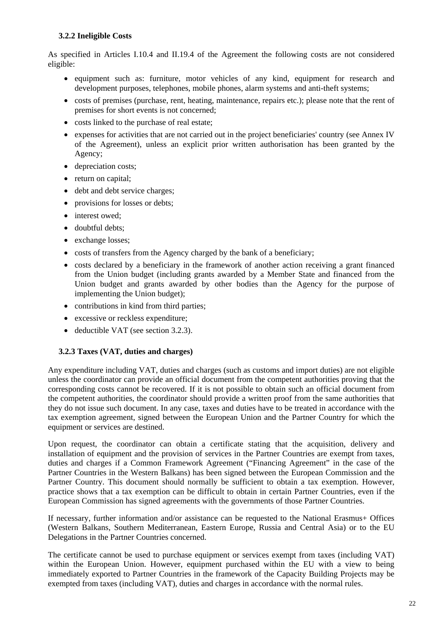#### **3.2.2 Ineligible Costs**

<span id="page-21-0"></span>As specified in Articles I.10.4 and II.19.4 of the Agreement the following costs are not considered eligible:

- equipment such as: furniture, motor vehicles of any kind, equipment for research and development purposes, telephones, mobile phones, alarm systems and anti-theft systems;
- costs of premises (purchase, rent, heating, maintenance, repairs etc.); please note that the rent of premises for short events is not concerned;
- costs linked to the purchase of real estate;
- expenses for activities that are not carried out in the project beneficiaries' country (see Annex IV of the Agreement), unless an explicit prior written authorisation has been granted by the Agency;
- depreciation costs;
- return on capital;
- debt and debt service charges;
- provisions for losses or debts:
- interest owed:
- doubtful debts:
- exchange losses;
- costs of transfers from the Agency charged by the bank of a beneficiary;
- costs declared by a beneficiary in the framework of another action receiving a grant financed from the Union budget (including grants awarded by a Member State and financed from the Union budget and grants awarded by other bodies than the Agency for the purpose of implementing the Union budget);
- contributions in kind from third parties;
- excessive or reckless expenditure;
- deductible VAT (see section 3.2.3).

#### **3.2.3 Taxes (VAT, duties and charges)**

<span id="page-21-1"></span>Any expenditure including VAT, duties and charges (such as customs and import duties) are not eligible unless the coordinator can provide an official document from the competent authorities proving that the corresponding costs cannot be recovered. If it is not possible to obtain such an official document from the competent authorities, the coordinator should provide a written proof from the same authorities that they do not issue such document. In any case, taxes and duties have to be treated in accordance with the tax exemption agreement, signed between the European Union and the Partner Country for which the equipment or services are destined.

Upon request, the coordinator can obtain a certificate stating that the acquisition, delivery and installation of equipment and the provision of services in the Partner Countries are exempt from taxes, duties and charges if a Common Framework Agreement ("Financing Agreement" in the case of the Partner Countries in the Western Balkans) has been signed between the European Commission and the Partner Country. This document should normally be sufficient to obtain a tax exemption. However, practice shows that a tax exemption can be difficult to obtain in certain Partner Countries, even if the European Commission has signed agreements with the governments of those Partner Countries.

If necessary, further information and/or assistance can be requested to the National Erasmus+ Offices (Western Balkans, Southern Mediterranean, Eastern Europe, Russia and Central Asia) or to the EU Delegations in the Partner Countries concerned.

The certificate cannot be used to purchase equipment or services exempt from taxes (including VAT) within the European Union. However, equipment purchased within the EU with a view to being immediately exported to Partner Countries in the framework of the Capacity Building Projects may be exempted from taxes (including VAT), duties and charges in accordance with the normal rules.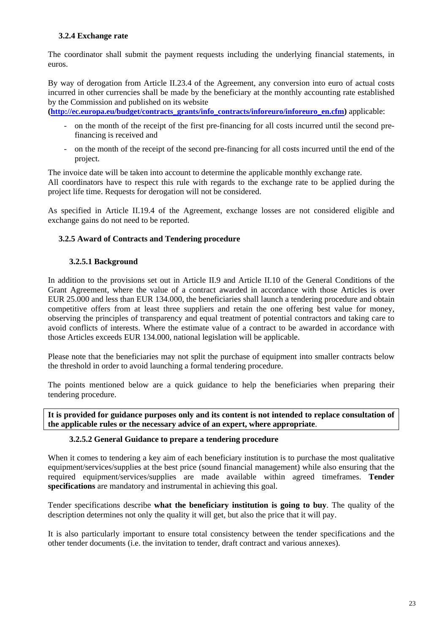#### **3.2.4 Exchange rate**

<span id="page-22-0"></span>The coordinator shall submit the payment requests including the underlying financial statements, in euros.

By way of derogation from Article II.23.4 of the Agreement, any conversion into euro of actual costs incurred in other currencies shall be made by the beneficiary at the monthly accounting rate established by the Commission and published on its website

**[\(http://ec.europa.eu/budget/contracts\\_grants/info\\_contracts/inforeuro/inforeuro\\_en.cfm\)](http://ec.europa.eu/budget/contracts_grants/info_contracts/inforeuro/inforeuro_en.cfm)** applicable:

- on the month of the receipt of the first pre-financing for all costs incurred until the second prefinancing is received and
- on the month of the receipt of the second pre-financing for all costs incurred until the end of the project.

The invoice date will be taken into account to determine the applicable monthly exchange rate. All coordinators have to respect this rule with regards to the exchange rate to be applied during the project life time. Requests for derogation will not be considered.

<span id="page-22-1"></span>As specified in Article II.19.4 of the Agreement, exchange losses are not considered eligible and exchange gains do not need to be reported.

#### **3.2.5 Award of Contracts and Tendering procedure**

#### **3.2.5.1 Background**

<span id="page-22-2"></span>In addition to the provisions set out in Article II.9 and Article II.10 of the General Conditions of the Grant Agreement, where the value of a contract awarded in accordance with those Articles is over EUR 25.000 and less than EUR 134.000, the beneficiaries shall launch a tendering procedure and obtain competitive offers from at least three suppliers and retain the one offering best value for money, observing the principles of transparency and equal treatment of potential contractors and taking care to avoid conflicts of interests. Where the estimate value of a contract to be awarded in accordance with those Articles exceeds EUR 134.000, national legislation will be applicable.

Please note that the beneficiaries may not split the purchase of equipment into smaller contracts below the threshold in order to avoid launching a formal tendering procedure.

The points mentioned below are a quick guidance to help the beneficiaries when preparing their tendering procedure.

<span id="page-22-3"></span>**It is provided for guidance purposes only and its content is not intended to replace consultation of the applicable rules or the necessary advice of an expert, where appropriate**.

#### **3.2.5.2 General Guidance to prepare a tendering procedure**

When it comes to tendering a key aim of each beneficiary institution is to purchase the most qualitative equipment/services/supplies at the best price (sound financial management) while also ensuring that the required equipment/services/supplies are made available within agreed timeframes. **Tender specifications** are mandatory and instrumental in achieving this goal.

Tender specifications describe **what the beneficiary institution is going to buy**. The quality of the description determines not only the quality it will get, but also the price that it will pay.

It is also particularly important to ensure total consistency between the tender specifications and the other tender documents (i.e. the invitation to tender, draft contract and various annexes).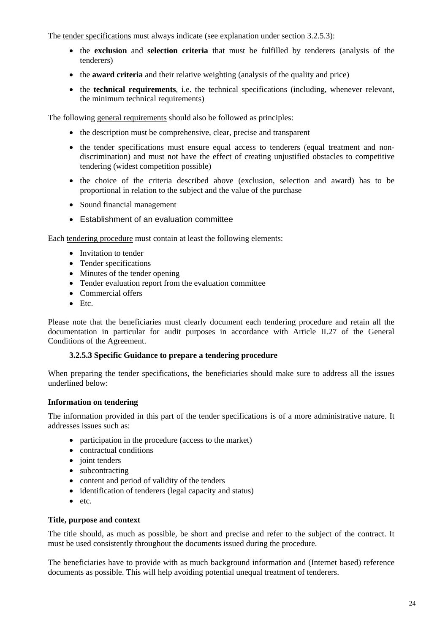The tender specifications must always indicate (see explanation under section 3.2.5.3):

- the **exclusion** and **selection criteria** that must be fulfilled by tenderers (analysis of the tenderers)
- the **award criteria** and their relative weighting (analysis of the quality and price)
- the **technical requirements**, i.e. the technical specifications (including, whenever relevant, the minimum technical requirements)

The following general requirements should also be followed as principles:

- the description must be comprehensive, clear, precise and transparent
- the tender specifications must ensure equal access to tenderers (equal treatment and nondiscrimination) and must not have the effect of creating unjustified obstacles to competitive tendering (widest competition possible)
- the choice of the criteria described above (exclusion, selection and award) has to be proportional in relation to the subject and the value of the purchase
- Sound financial management
- Establishment of an evaluation committee

Each tendering procedure must contain at least the following elements:

- Invitation to tender
- Tender specifications
- Minutes of the tender opening
- Tender evaluation report from the evaluation committee
- Commercial offers
- Etc.

<span id="page-23-0"></span>Please note that the beneficiaries must clearly document each tendering procedure and retain all the documentation in particular for audit purposes in accordance with Article II.27 of the General Conditions of the Agreement.

#### **3.2.5.3 Specific Guidance to prepare a tendering procedure**

When preparing the tender specifications, the beneficiaries should make sure to address all the issues underlined below:

#### **Information on tendering**

The information provided in this part of the tender specifications is of a more administrative nature. It addresses issues such as:

- participation in the procedure (access to the market)
- contractual conditions
- joint tenders
- subcontracting
- content and period of validity of the tenders
- identification of tenderers (legal capacity and status)
- etc.

#### **Title, purpose and context**

The title should, as much as possible, be short and precise and refer to the subject of the contract. It must be used consistently throughout the documents issued during the procedure.

The beneficiaries have to provide with as much background information and (Internet based) reference documents as possible. This will help avoiding potential unequal treatment of tenderers.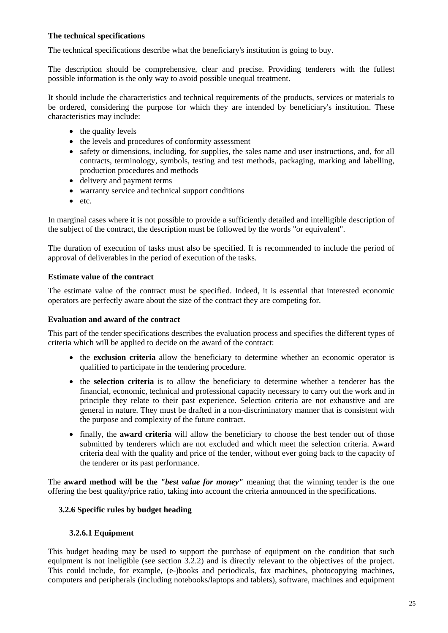#### **The technical specifications**

The technical specifications describe what the beneficiary's institution is going to buy.

The description should be comprehensive, clear and precise. Providing tenderers with the fullest possible information is the only way to avoid possible unequal treatment.

It should include the characteristics and technical requirements of the products, services or materials to be ordered, considering the purpose for which they are intended by beneficiary's institution. These characteristics may include:

- the quality levels
- the levels and procedures of conformity assessment
- safety or dimensions, including, for supplies, the sales name and user instructions, and, for all contracts, terminology, symbols, testing and test methods, packaging, marking and labelling, production procedures and methods
- delivery and payment terms
- warranty service and technical support conditions
- etc.

In marginal cases where it is not possible to provide a sufficiently detailed and intelligible description of the subject of the contract, the description must be followed by the words "or equivalent".

The duration of execution of tasks must also be specified. It is recommended to include the period of approval of deliverables in the period of execution of the tasks.

#### **Estimate value of the contract**

The estimate value of the contract must be specified. Indeed, it is essential that interested economic operators are perfectly aware about the size of the contract they are competing for.

#### **Evaluation and award of the contract**

This part of the tender specifications describes the evaluation process and specifies the different types of criteria which will be applied to decide on the award of the contract:

- the **exclusion criteria** allow the beneficiary to determine whether an economic operator is qualified to participate in the tendering procedure.
- the **selection criteria** is to allow the beneficiary to determine whether a tenderer has the financial, economic, technical and professional capacity necessary to carry out the work and in principle they relate to their past experience. Selection criteria are not exhaustive and are general in nature. They must be drafted in a non-discriminatory manner that is consistent with the purpose and complexity of the future contract.
- finally, the **award criteria** will allow the beneficiary to choose the best tender out of those submitted by tenderers which are not excluded and which meet the selection criteria. Award criteria deal with the quality and price of the tender, without ever going back to the capacity of the tenderer or its past performance.

<span id="page-24-0"></span>The **award method will be the** *"best value for money"* meaning that the winning tender is the one offering the best quality/price ratio, taking into account the criteria announced in the specifications.

#### **3.2.6 Specific rules by budget heading**

#### **3.2.6.1 Equipment**

<span id="page-24-1"></span>This budget heading may be used to support the purchase of equipment on the condition that such equipment is not ineligible (see section 3.2.2) and is directly relevant to the objectives of the project. This could include, for example, (e-)books and periodicals, fax machines, photocopying machines, computers and peripherals (including notebooks/laptops and tablets), software, machines and equipment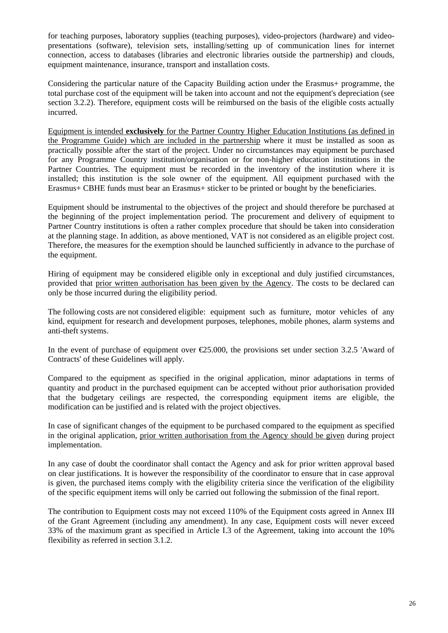for teaching purposes, laboratory supplies (teaching purposes), video-projectors (hardware) and videopresentations (software), television sets, installing/setting up of communication lines for internet connection, access to databases (libraries and electronic libraries outside the partnership) and clouds, equipment maintenance, insurance, transport and installation costs.

Considering the particular nature of the Capacity Building action under the Erasmus+ programme, the total purchase cost of the equipment will be taken into account and not the equipment's depreciation (see section 3.2.2). Therefore, equipment costs will be reimbursed on the basis of the eligible costs actually incurred.

Equipment is intended **exclusively** for the Partner Country Higher Education Institutions (as defined in the Programme Guide) which are included in the partnership where it must be installed as soon as practically possible after the start of the project. Under no circumstances may equipment be purchased for any Programme Country institution/organisation or for non-higher education institutions in the Partner Countries. The equipment must be recorded in the inventory of the institution where it is installed; this institution is the sole owner of the equipment. All equipment purchased with the Erasmus+ CBHE funds must bear an Erasmus+ sticker to be printed or bought by the beneficiaries.

Equipment should be instrumental to the objectives of the project and should therefore be purchased at the beginning of the project implementation period. The procurement and delivery of equipment to Partner Country institutions is often a rather complex procedure that should be taken into consideration at the planning stage. In addition, as above mentioned, VAT is not considered as an eligible project cost. Therefore, the measures for the exemption should be launched sufficiently in advance to the purchase of the equipment.

Hiring of equipment may be considered eligible only in exceptional and duly justified circumstances, provided that prior written authorisation has been given by the Agency. The costs to be declared can only be those incurred during the eligibility period.

The following costs are not considered eligible: equipment such as furniture, motor vehicles of any kind, equipment for research and development purposes, telephones, mobile phones, alarm systems and anti-theft systems.

In the event of purchase of equipment over  $E$ 5.000, the provisions set under section 3.2.5 'Award of Contracts' of these Guidelines will apply.

Compared to the equipment as specified in the original application, minor adaptations in terms of quantity and product in the purchased equipment can be accepted without prior authorisation provided that the budgetary ceilings are respected, the corresponding equipment items are eligible, the modification can be justified and is related with the project objectives.

In case of significant changes of the equipment to be purchased compared to the equipment as specified in the original application, prior written authorisation from the Agency should be given during project implementation.

In any case of doubt the coordinator shall contact the Agency and ask for prior written approval based on clear justifications. It is however the responsibility of the coordinator to ensure that in case approval is given, the purchased items comply with the eligibility criteria since the verification of the eligibility of the specific equipment items will only be carried out following the submission of the final report.

The contribution to Equipment costs may not exceed 110% of the Equipment costs agreed in Annex III of the Grant Agreement (including any amendment). In any case, Equipment costs will never exceed 33% of the maximum grant as specified in Article I.3 of the Agreement, taking into account the 10% flexibility as referred in section 3.1.2.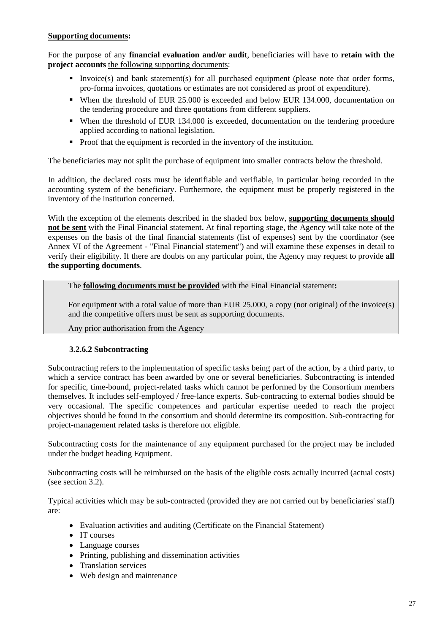#### **Supporting documents:**

For the purpose of any **financial evaluation and/or audit**, beneficiaries will have to **retain with the project accounts** the following supporting documents:

- Invoice(s) and bank statement(s) for all purchased equipment (please note that order forms, pro-forma invoices, quotations or estimates are not considered as proof of expenditure).
- When the threshold of EUR 25.000 is exceeded and below EUR 134.000, documentation on the tendering procedure and three quotations from different suppliers.
- When the threshold of EUR 134.000 is exceeded, documentation on the tendering procedure applied according to national legislation.
- Proof that the equipment is recorded in the inventory of the institution.

The beneficiaries may not split the purchase of equipment into smaller contracts below the threshold.

In addition, the declared costs must be identifiable and verifiable, in particular being recorded in the accounting system of the beneficiary. Furthermore, the equipment must be properly registered in the inventory of the institution concerned.

With the exception of the elements described in the shaded box below, **supporting documents should not be sent** with the Final Financial statement**.** At final reporting stage, the Agency will take note of the expenses on the basis of the final financial statements (list of expenses) sent by the coordinator (see Annex VI of the Agreement - "Final Financial statement") and will examine these expenses in detail to verify their eligibility. If there are doubts on any particular point, the Agency may request to provide **all the supporting documents**.

The **following documents must be provided** with the Final Financial statement**:**

 For equipment with a total value of more than EUR 25.000, a copy (not original) of the invoice(s) and the competitive offers must be sent as supporting documents.

Any prior authorisation from the Agency

#### **3.2.6.2 Subcontracting**

<span id="page-26-0"></span>Subcontracting refers to the implementation of specific tasks being part of the action, by a third party, to which a service contract has been awarded by one or several beneficiaries. Subcontracting is intended for specific, time-bound, project-related tasks which cannot be performed by the Consortium members themselves. It includes self-employed / free-lance experts. Sub-contracting to external bodies should be very occasional. The specific competences and particular expertise needed to reach the project objectives should be found in the consortium and should determine its composition. Sub-contracting for project-management related tasks is therefore not eligible.

Subcontracting costs for the maintenance of any equipment purchased for the project may be included under the budget heading Equipment.

Subcontracting costs will be reimbursed on the basis of the eligible costs actually incurred (actual costs) (see section 3.2).

Typical activities which may be sub-contracted (provided they are not carried out by beneficiaries' staff) are:

- Evaluation activities and auditing (Certificate on the Financial Statement)
- IT courses
- Language courses
- Printing, publishing and dissemination activities
- Translation services
- Web design and maintenance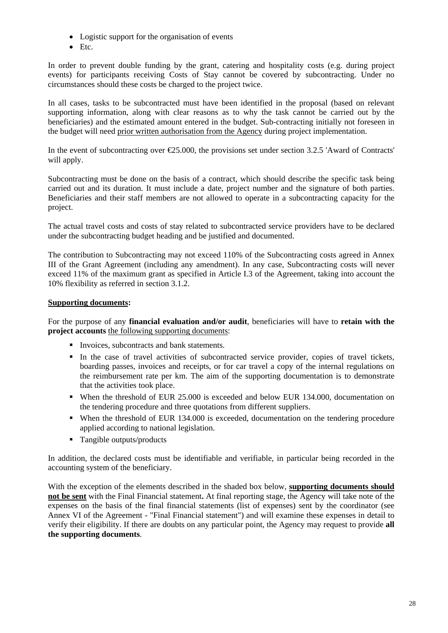- Logistic support for the organisation of events
- Etc.

In order to prevent double funding by the grant, catering and hospitality costs (e.g. during project events) for participants receiving Costs of Stay cannot be covered by subcontracting. Under no circumstances should these costs be charged to the project twice.

In all cases, tasks to be subcontracted must have been identified in the proposal (based on relevant supporting information, along with clear reasons as to why the task cannot be carried out by the beneficiaries) and the estimated amount entered in the budget. Sub-contracting initially not foreseen in the budget will need prior written authorisation from the Agency during project implementation.

In the event of subcontracting over  $\epsilon$ 25.000, the provisions set under section 3.2.5 'Award of Contracts' will apply.

Subcontracting must be done on the basis of a contract, which should describe the specific task being carried out and its duration. It must include a date, project number and the signature of both parties. Beneficiaries and their staff members are not allowed to operate in a subcontracting capacity for the project.

The actual travel costs and costs of stay related to subcontracted service providers have to be declared under the subcontracting budget heading and be justified and documented.

The contribution to Subcontracting may not exceed 110% of the Subcontracting costs agreed in Annex III of the Grant Agreement (including any amendment). In any case, Subcontracting costs will never exceed 11% of the maximum grant as specified in Article I.3 of the Agreement, taking into account the 10% flexibility as referred in section 3.1.2.

#### **Supporting documents:**

For the purpose of any **financial evaluation and/or audit**, beneficiaries will have to **retain with the project accounts** the following supporting documents:

- Invoices, subcontracts and bank statements.
- In the case of travel activities of subcontracted service provider, copies of travel tickets, boarding passes, invoices and receipts, or for car travel a copy of the internal regulations on the reimbursement rate per km. The aim of the supporting documentation is to demonstrate that the activities took place.
- When the threshold of EUR 25.000 is exceeded and below EUR 134.000, documentation on the tendering procedure and three quotations from different suppliers.
- When the threshold of EUR 134.000 is exceeded, documentation on the tendering procedure applied according to national legislation.
- Tangible outputs/products

In addition, the declared costs must be identifiable and verifiable, in particular being recorded in the accounting system of the beneficiary.

With the exception of the elements described in the shaded box below, **supporting documents should not be sent** with the Final Financial statement**.** At final reporting stage, the Agency will take note of the expenses on the basis of the final financial statements (list of expenses) sent by the coordinator (see Annex VI of the Agreement - "Final Financial statement") and will examine these expenses in detail to verify their eligibility. If there are doubts on any particular point, the Agency may request to provide **all the supporting documents**.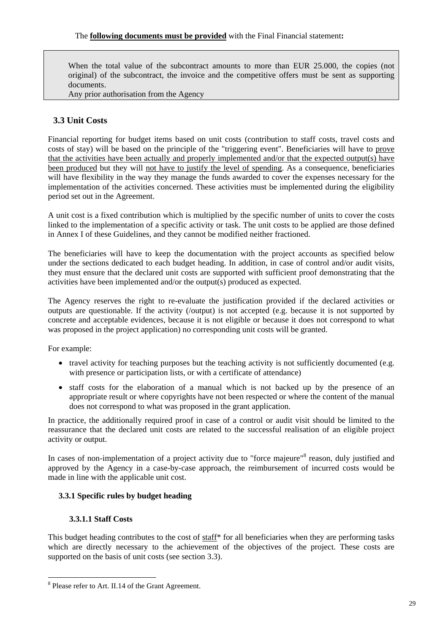When the total value of the subcontract amounts to more than EUR 25.000, the copies (not original) of the subcontract, the invoice and the competitive offers must be sent as supporting documents.

Any prior authorisation from the Agency

## <span id="page-28-0"></span>**3.3 Unit Costs**

Financial reporting for budget items based on unit costs (contribution to staff costs, travel costs and costs of stay) will be based on the principle of the "triggering event". Beneficiaries will have to prove that the activities have been actually and properly implemented and/or that the expected output(s) have been produced but they will not have to justify the level of spending. As a consequence, beneficiaries will have flexibility in the way they manage the funds awarded to cover the expenses necessary for the implementation of the activities concerned. These activities must be implemented during the eligibility period set out in the Agreement.

A unit cost is a fixed contribution which is multiplied by the specific number of units to cover the costs linked to the implementation of a specific activity or task. The unit costs to be applied are those defined in Annex I of these Guidelines, and they cannot be modified neither fractioned.

The beneficiaries will have to keep the documentation with the project accounts as specified below under the sections dedicated to each budget heading. In addition, in case of control and/or audit visits, they must ensure that the declared unit costs are supported with sufficient proof demonstrating that the activities have been implemented and/or the output(s) produced as expected.

The Agency reserves the right to re-evaluate the justification provided if the declared activities or outputs are questionable. If the activity (/output) is not accepted (e.g. because it is not supported by concrete and acceptable evidences, because it is not eligible or because it does not correspond to what was proposed in the project application) no corresponding unit costs will be granted.

For example:

- travel activity for teaching purposes but the teaching activity is not sufficiently documented (e.g. with presence or participation lists, or with a certificate of attendance)
- staff costs for the elaboration of a manual which is not backed up by the presence of an appropriate result or where copyrights have not been respected or where the content of the manual does not correspond to what was proposed in the grant application.

In practice, the additionally required proof in case of a control or audit visit should be limited to the reassurance that the declared unit costs are related to the successful realisation of an eligible project activity or output.

<span id="page-28-1"></span>In cases of non-implementation of a project activity due to "force majeure"<sup>8</sup> reason, duly justified and approved by the Agency in a case-by-case approach, the reimbursement of incurred costs would be made in line with the applicable unit cost.

#### **3.3.1 Specific rules by budget heading**

#### **3.3.1.1 Staff Costs**

1

<span id="page-28-2"></span>This budget heading contributes to the cost of staff\* for all beneficiaries when they are performing tasks which are directly necessary to the achievement of the objectives of the project. These costs are supported on the basis of unit costs (see section 3.3).

<sup>&</sup>lt;sup>8</sup> Please refer to Art. II.14 of the Grant Agreement.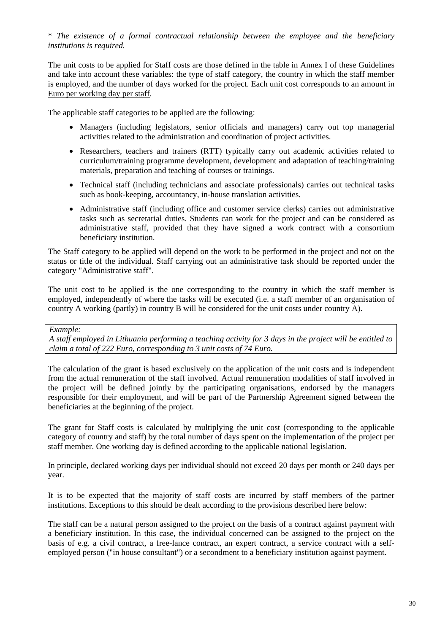\* *The existence of a formal contractual relationship between the employee and the beneficiary institutions is required.* 

The unit costs to be applied for Staff costs are those defined in the table in Annex I of these Guidelines and take into account these variables: the type of staff category, the country in which the staff member is employed, and the number of days worked for the project. Each unit cost corresponds to an amount in Euro per working day per staff.

The applicable staff categories to be applied are the following:

- Managers (including legislators, senior officials and managers) carry out top managerial activities related to the administration and coordination of project activities.
- Researchers, teachers and trainers (RTT) typically carry out academic activities related to curriculum/training programme development, development and adaptation of teaching/training materials, preparation and teaching of courses or trainings.
- Technical staff (including technicians and associate professionals) carries out technical tasks such as book-keeping, accountancy, in-house translation activities.
- Administrative staff (including office and customer service clerks) carries out administrative tasks such as secretarial duties. Students can work for the project and can be considered as administrative staff, provided that they have signed a work contract with a consortium beneficiary institution.

The Staff category to be applied will depend on the work to be performed in the project and not on the status or title of the individual. Staff carrying out an administrative task should be reported under the category "Administrative staff".

The unit cost to be applied is the one corresponding to the country in which the staff member is employed, independently of where the tasks will be executed (i.e. a staff member of an organisation of country A working (partly) in country B will be considered for the unit costs under country A).

#### *Example:*

*A staff employed in Lithuania performing a teaching activity for 3 days in the project will be entitled to claim a total of 222 Euro, corresponding to 3 unit costs of 74 Euro.* 

The calculation of the grant is based exclusively on the application of the unit costs and is independent from the actual remuneration of the staff involved. Actual remuneration modalities of staff involved in the project will be defined jointly by the participating organisations, endorsed by the managers responsible for their employment, and will be part of the Partnership Agreement signed between the beneficiaries at the beginning of the project.

The grant for Staff costs is calculated by multiplying the unit cost (corresponding to the applicable category of country and staff) by the total number of days spent on the implementation of the project per staff member. One working day is defined according to the applicable national legislation.

In principle, declared working days per individual should not exceed 20 days per month or 240 days per year.

It is to be expected that the majority of staff costs are incurred by staff members of the partner institutions. Exceptions to this should be dealt according to the provisions described here below:

The staff can be a natural person assigned to the project on the basis of a contract against payment with a beneficiary institution. In this case, the individual concerned can be assigned to the project on the basis of e.g. a civil contract, a free-lance contract, an expert contract, a service contract with a selfemployed person ("in house consultant") or a secondment to a beneficiary institution against payment.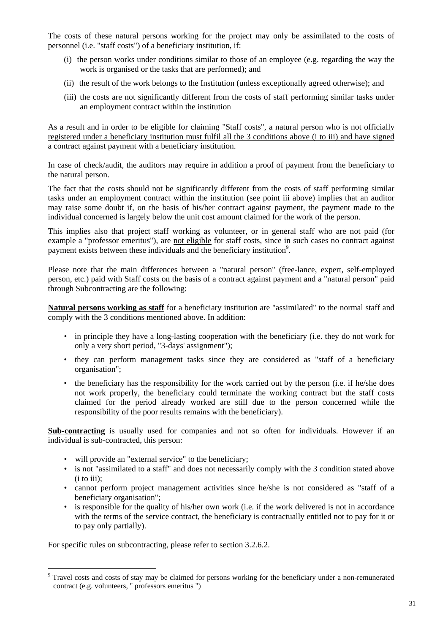The costs of these natural persons working for the project may only be assimilated to the costs of personnel (i.e. "staff costs") of a beneficiary institution, if:

- (i) the person works under conditions similar to those of an employee (e.g. regarding the way the work is organised or the tasks that are performed); and
- (ii) the result of the work belongs to the Institution (unless exceptionally agreed otherwise); and
- (iii) the costs are not significantly different from the costs of staff performing similar tasks under an employment contract within the institution

As a result and in order to be eligible for claiming "Staff costs", a natural person who is not officially registered under a beneficiary institution must fulfil all the 3 conditions above (i to iii) and have signed a contract against payment with a beneficiary institution.

In case of check/audit, the auditors may require in addition a proof of payment from the beneficiary to the natural person.

The fact that the costs should not be significantly different from the costs of staff performing similar tasks under an employment contract within the institution (see point iii above) implies that an auditor may raise some doubt if, on the basis of his/her contract against payment, the payment made to the individual concerned is largely below the unit cost amount claimed for the work of the person.

This implies also that project staff working as volunteer, or in general staff who are not paid (for example a "professor emeritus"), are not eligible for staff costs, since in such cases no contract against payment exists between these individuals and the beneficiary institution<sup>9</sup>.

Please note that the main differences between a "natural person" (free-lance, expert, self-employed person, etc.) paid with Staff costs on the basis of a contract against payment and a "natural person" paid through Subcontracting are the following:

**Natural persons working as staff** for a beneficiary institution are "assimilated" to the normal staff and comply with the 3 conditions mentioned above. In addition:

- in principle they have a long-lasting cooperation with the beneficiary (i.e. they do not work for only a very short period, "3-days' assignment");
- they can perform management tasks since they are considered as "staff of a beneficiary organisation";
- the beneficiary has the responsibility for the work carried out by the person (i.e. if he/she does not work properly, the beneficiary could terminate the working contract but the staff costs claimed for the period already worked are still due to the person concerned while the responsibility of the poor results remains with the beneficiary).

**Sub-contracting** is usually used for companies and not so often for individuals. However if an individual is sub-contracted, this person:

- will provide an "external service" to the beneficiary;
- is not "assimilated to a staff" and does not necessarily comply with the 3 condition stated above (i to iii);
- cannot perform project management activities since he/she is not considered as "staff of a beneficiary organisation";
- is responsible for the quality of his/her own work (i.e. if the work delivered is not in accordance with the terms of the service contract, the beneficiary is contractually entitled not to pay for it or to pay only partially).

For specific rules on subcontracting, please refer to section 3.2.6.2.

1

<sup>&</sup>lt;sup>9</sup> Travel costs and costs of stay may be claimed for persons working for the beneficiary under a non-remunerated contract (e.g. volunteers, " professors emeritus ")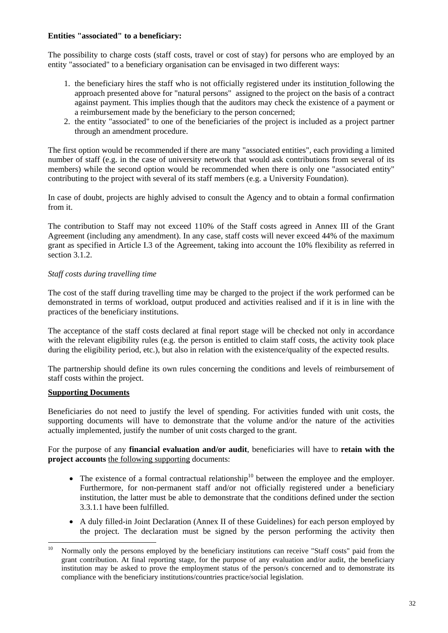#### **Entities "associated" to a beneficiary:**

The possibility to charge costs (staff costs, travel or cost of stay) for persons who are employed by an entity "associated" to a beneficiary organisation can be envisaged in two different ways:

- 1. the beneficiary hires the staff who is not officially registered under its institution following the approach presented above for "natural persons" assigned to the project on the basis of a contract against payment. This implies though that the auditors may check the existence of a payment or a reimbursement made by the beneficiary to the person concerned;
- 2. the entity "associated" to one of the beneficiaries of the project is included as a project partner through an amendment procedure.

The first option would be recommended if there are many "associated entities", each providing a limited number of staff (e.g. in the case of university network that would ask contributions from several of its members) while the second option would be recommended when there is only one "associated entity" contributing to the project with several of its staff members (e.g. a University Foundation).

In case of doubt, projects are highly advised to consult the Agency and to obtain a formal confirmation from it.

The contribution to Staff may not exceed 110% of the Staff costs agreed in Annex III of the Grant Agreement (including any amendment). In any case, staff costs will never exceed 44% of the maximum grant as specified in Article I.3 of the Agreement, taking into account the 10% flexibility as referred in section 3.1.2.

#### *Staff costs during travelling time*

The cost of the staff during travelling time may be charged to the project if the work performed can be demonstrated in terms of workload, output produced and activities realised and if it is in line with the practices of the beneficiary institutions.

The acceptance of the staff costs declared at final report stage will be checked not only in accordance with the relevant eligibility rules (e.g. the person is entitled to claim staff costs, the activity took place during the eligibility period, etc.), but also in relation with the existence/quality of the expected results.

The partnership should define its own rules concerning the conditions and levels of reimbursement of staff costs within the project.

#### **Supporting Documents**

Beneficiaries do not need to justify the level of spending. For activities funded with unit costs, the supporting documents will have to demonstrate that the volume and/or the nature of the activities actually implemented, justify the number of unit costs charged to the grant.

For the purpose of any **financial evaluation and/or audit**, beneficiaries will have to **retain with the project accounts** the following supporting documents:

- The existence of a formal contractual relationship<sup>10</sup> between the employee and the employer. Furthermore, for non-permanent staff and/or not officially registered under a beneficiary institution, the latter must be able to demonstrate that the conditions defined under the section 3.3.1.1 have been fulfilled.
- A duly filled-in Joint Declaration (Annex II of these Guidelines) for each person employed by the project. The declaration must be signed by the person performing the activity then

 $10$ 10 Normally only the persons employed by the beneficiary institutions can receive "Staff costs" paid from the grant contribution. At final reporting stage, for the purpose of any evaluation and/or audit, the beneficiary institution may be asked to prove the employment status of the person/s concerned and to demonstrate its compliance with the beneficiary institutions/countries practice/social legislation.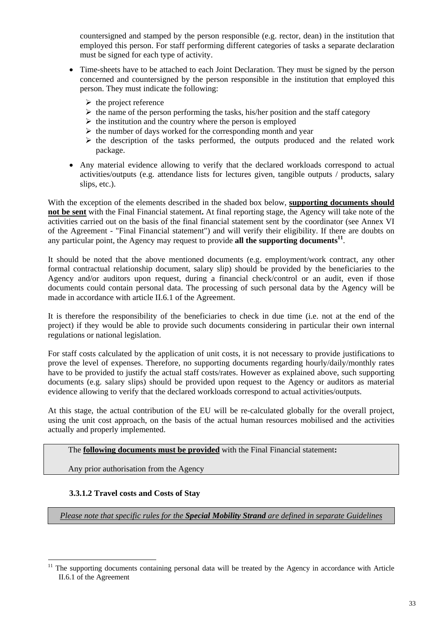countersigned and stamped by the person responsible (e.g. rector, dean) in the institution that employed this person. For staff performing different categories of tasks a separate declaration must be signed for each type of activity.

- Time-sheets have to be attached to each Joint Declaration. They must be signed by the person concerned and countersigned by the person responsible in the institution that employed this person. They must indicate the following:
	- $\triangleright$  the project reference
	- $\triangleright$  the name of the person performing the tasks, his/her position and the staff category
	- $\triangleright$  the institution and the country where the person is employed
	- $\triangleright$  the number of days worked for the corresponding month and year
	- $\triangleright$  the description of the tasks performed, the outputs produced and the related work package.
- Any material evidence allowing to verify that the declared workloads correspond to actual activities/outputs (e.g. attendance lists for lectures given, tangible outputs / products, salary slips, etc.).

With the exception of the elements described in the shaded box below, **supporting documents should not be sent** with the Final Financial statement**.** At final reporting stage, the Agency will take note of the activities carried out on the basis of the final financial statement sent by the coordinator (see Annex VI of the Agreement - "Final Financial statement") and will verify their eligibility. If there are doubts on any particular point, the Agency may request to provide **all the supporting documents<sup>11</sup>**.

It should be noted that the above mentioned documents (e.g. employment/work contract, any other formal contractual relationship document, salary slip) should be provided by the beneficiaries to the Agency and/or auditors upon request, during a financial check/control or an audit, even if those documents could contain personal data. The processing of such personal data by the Agency will be made in accordance with article II.6.1 of the Agreement.

It is therefore the responsibility of the beneficiaries to check in due time (i.e. not at the end of the project) if they would be able to provide such documents considering in particular their own internal regulations or national legislation.

For staff costs calculated by the application of unit costs, it is not necessary to provide justifications to prove the level of expenses. Therefore, no supporting documents regarding hourly/daily/monthly rates have to be provided to justify the actual staff costs/rates. However as explained above, such supporting documents (e.g. salary slips) should be provided upon request to the Agency or auditors as material evidence allowing to verify that the declared workloads correspond to actual activities/outputs.

At this stage, the actual contribution of the EU will be re-calculated globally for the overall project, using the unit cost approach, on the basis of the actual human resources mobilised and the activities actually and properly implemented.

#### The **following documents must be provided** with the Final Financial statement**:**

Any prior authorisation from the Agency

#### **3.3.1.2 Travel costs and Costs of Stay**

1

<span id="page-32-0"></span>*Please note that specific rules for the Special Mobility Strand are defined in separate Guidelines*

The supporting documents containing personal data will be treated by the Agency in accordance with Article II.6.1 of the Agreement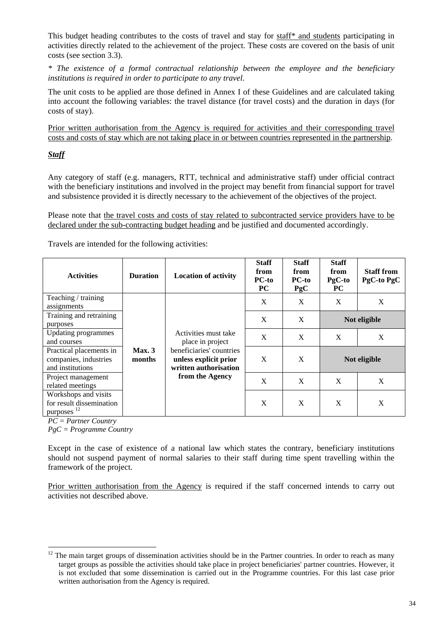This budget heading contributes to the costs of travel and stay for staff\* and students participating in activities directly related to the achievement of the project. These costs are covered on the basis of unit costs (see section 3.3).

*\* The existence of a formal contractual relationship between the employee and the beneficiary institutions is required in order to participate to any travel.* 

The unit costs to be applied are those defined in Annex I of these Guidelines and are calculated taking into account the following variables: the travel distance (for travel costs) and the duration in days (for costs of stay).

Prior written authorisation from the Agency is required for activities and their corresponding travel costs and costs of stay which are not taking place in or between countries represented in the partnership.

#### *Staff*

Any category of staff (e.g. managers, RTT, technical and administrative staff) under official contract with the beneficiary institutions and involved in the project may benefit from financial support for travel and subsistence provided it is directly necessary to the achievement of the objectives of the project.

Please note that the travel costs and costs of stay related to subcontracted service providers have to be declared under the sub-contracting budget heading and be justified and documented accordingly.

Travels are intended for the following activities:

| <b>Activities</b>                                                          | <b>Duration</b> | <b>Location of activity</b>                                                | <b>Staff</b><br>from<br><b>PC-to</b><br><b>PC</b> | <b>Staff</b><br>from<br>PC-to<br>PgC | <b>Staff</b><br>from<br>PgC-to<br><b>PC</b> | <b>Staff from</b><br>PgC-to PgC |
|----------------------------------------------------------------------------|-----------------|----------------------------------------------------------------------------|---------------------------------------------------|--------------------------------------|---------------------------------------------|---------------------------------|
| Teaching / training                                                        |                 |                                                                            | X                                                 | X                                    | X                                           | X                               |
| assignments                                                                |                 |                                                                            |                                                   |                                      |                                             |                                 |
| Training and retraining                                                    |                 |                                                                            | X                                                 | X                                    |                                             | Not eligible                    |
| purposes                                                                   |                 |                                                                            |                                                   |                                      |                                             |                                 |
| <b>Updating programmes</b>                                                 |                 | Activities must take                                                       | X                                                 | X                                    | X                                           | X                               |
| and courses                                                                |                 | place in project                                                           |                                                   |                                      |                                             |                                 |
| Practical placements in<br>companies, industries<br>and institutions       | Max.3<br>months | beneficiaries' countries<br>unless explicit prior<br>written authorisation | X                                                 | X                                    |                                             | Not eligible                    |
| Project management<br>related meetings                                     |                 | from the Agency                                                            | X                                                 | X                                    | X                                           | X                               |
| Workshops and visits<br>for result dissemination<br>purposes <sup>12</sup> |                 |                                                                            | X                                                 | X                                    | X                                           | X                               |

*PC = Partner Country* 

1

*PgC = Programme Country* 

Except in the case of existence of a national law which states the contrary, beneficiary institutions should not suspend payment of normal salaries to their staff during time spent travelling within the framework of the project.

Prior written authorisation from the Agency is required if the staff concerned intends to carry out activities not described above.

 $12$  The main target groups of dissemination activities should be in the Partner countries. In order to reach as many target groups as possible the activities should take place in project beneficiaries' partner countries. However, it is not excluded that some dissemination is carried out in the Programme countries. For this last case prior written authorisation from the Agency is required.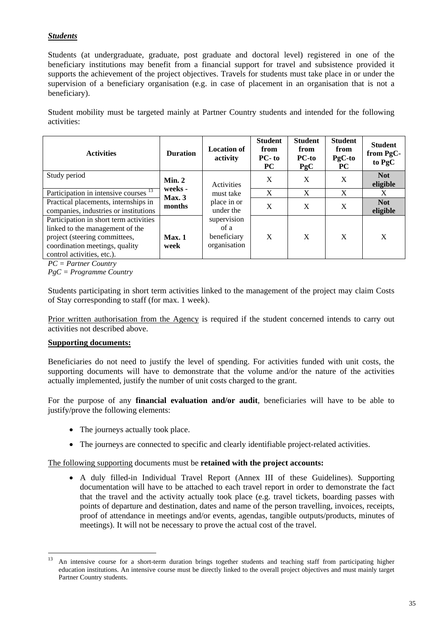#### *Students*

Students (at undergraduate, graduate, post graduate and doctoral level) registered in one of the beneficiary institutions may benefit from a financial support for travel and subsistence provided it supports the achievement of the project objectives. Travels for students must take place in or under the supervision of a beneficiary organisation (e.g. in case of placement in an organisation that is not a beneficiary).

Student mobility must be targeted mainly at Partner Country students and intended for the following activities:

| <b>Activities</b>                                                                                                                                                          | <b>Duration</b>   | <b>Location of</b><br>activity                     | <b>Student</b><br>from<br><b>PC-to</b><br><b>PC</b> | <b>Student</b><br>from<br>PC-to<br>PgC | <b>Student</b><br>from<br>$PgC-to$<br><b>PC</b> | <b>Student</b><br>from PgC-<br>to PgC |
|----------------------------------------------------------------------------------------------------------------------------------------------------------------------------|-------------------|----------------------------------------------------|-----------------------------------------------------|----------------------------------------|-------------------------------------------------|---------------------------------------|
| Study period                                                                                                                                                               | Min. 2<br>weeks - | Activities                                         | X                                                   | X                                      | $\boldsymbol{X}$                                | <b>Not</b><br>eligible                |
| Participation in intensive courses <sup>13</sup>                                                                                                                           | Max.3<br>months   | must take                                          | $\boldsymbol{X}$                                    | X                                      | X                                               | X                                     |
| Practical placements, internships in<br>companies, industries or institutions                                                                                              |                   |                                                    | place in or<br>under the                            | X                                      | X                                               | X                                     |
| Participation in short term activities<br>linked to the management of the<br>project (steering committees,<br>coordination meetings, quality<br>control activities, etc.). | Max.1<br>week     | supervision<br>of a<br>beneficiary<br>organisation | X                                                   | X                                      | X                                               | X                                     |

*PC = Partner Country* 

*PgC = Programme Country* 

Students participating in short term activities linked to the management of the project may claim Costs of Stay corresponding to staff (for max. 1 week).

Prior written authorisation from the Agency is required if the student concerned intends to carry out activities not described above.

#### **Supporting documents:**

1

Beneficiaries do not need to justify the level of spending. For activities funded with unit costs, the supporting documents will have to demonstrate that the volume and/or the nature of the activities actually implemented, justify the number of unit costs charged to the grant.

For the purpose of any **financial evaluation and/or audit**, beneficiaries will have to be able to justify/prove the following elements:

- The journeys actually took place.
- The journeys are connected to specific and clearly identifiable project-related activities.

The following supporting documents must be **retained with the project accounts:**

• A duly filled-in Individual Travel Report (Annex III of these Guidelines). Supporting documentation will have to be attached to each travel report in order to demonstrate the fact that the travel and the activity actually took place (e.g. travel tickets, boarding passes with points of departure and destination, dates and name of the person travelling, invoices, receipts, proof of attendance in meetings and/or events, agendas, tangible outputs/products, minutes of meetings). It will not be necessary to prove the actual cost of the travel.

<sup>13</sup> An intensive course for a short-term duration brings together students and teaching staff from participating higher education institutions. An intensive course must be directly linked to the overall project objectives and must mainly target Partner Country students.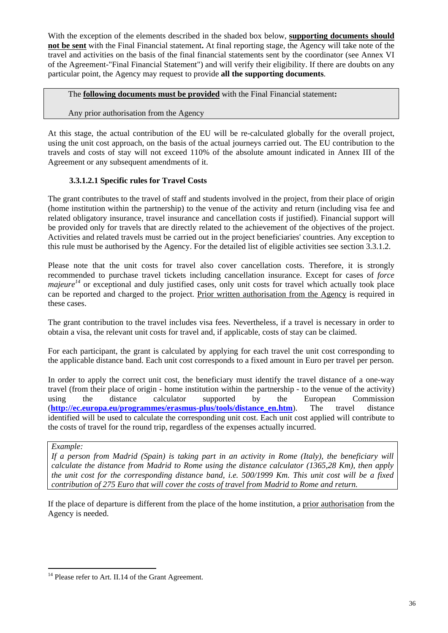With the exception of the elements described in the shaded box below, **supporting documents should not be sent** with the Final Financial statement**.** At final reporting stage, the Agency will take note of the travel and activities on the basis of the final financial statements sent by the coordinator (see Annex VI of the Agreement-"Final Financial Statement") and will verify their eligibility. If there are doubts on any particular point, the Agency may request to provide **all the supporting documents**.

The **following documents must be provided** with the Final Financial statement**:**

#### Any prior authorisation from the Agency

At this stage, the actual contribution of the EU will be re-calculated globally for the overall project, using the unit cost approach, on the basis of the actual journeys carried out. The EU contribution to the travels and costs of stay will not exceed 110% of the absolute amount indicated in Annex III of the Agreement or any subsequent amendments of it.

## **3.3.1.2.1 Specific rules for Travel Costs**

The grant contributes to the travel of staff and students involved in the project, from their place of origin (home institution within the partnership) to the venue of the activity and return (including visa fee and related obligatory insurance, travel insurance and cancellation costs if justified). Financial support will be provided only for travels that are directly related to the achievement of the objectives of the project. Activities and related travels must be carried out in the project beneficiaries' countries. Any exception to this rule must be authorised by the Agency. For the detailed list of eligible activities see section 3.3.1.2.

Please note that the unit costs for travel also cover cancellation costs. Therefore, it is strongly recommended to purchase travel tickets including cancellation insurance. Except for cases of *force majeure*<sup>14</sup> or exceptional and duly justified cases, only unit costs for travel which actually took place can be reported and charged to the project. Prior written authorisation from the Agency is required in these cases.

The grant contribution to the travel includes visa fees. Nevertheless, if a travel is necessary in order to obtain a visa, the relevant unit costs for travel and, if applicable, costs of stay can be claimed.

For each participant, the grant is calculated by applying for each travel the unit cost corresponding to the applicable distance band. Each unit cost corresponds to a fixed amount in Euro per travel per person.

In order to apply the correct unit cost, the beneficiary must identify the travel distance of a one-way travel (from their place of origin - home institution within the partnership - to the venue of the activity) using the distance calculator supported by the European Commission (**[http://ec.europa.eu/programmes/erasmus-plus/tools/distance\\_en.htm](http://ec.europa.eu/programmes/erasmus-plus/tools/distance_en.htm)**). The travel distance identified will be used to calculate the corresponding unit cost. Each unit cost applied will contribute to the costs of travel for the round trip, regardless of the expenses actually incurred.

#### *Example:*

1

*If a person from Madrid (Spain) is taking part in an activity in Rome (Italy), the beneficiary will calculate the distance from Madrid to Rome using the distance calculator (1365,28 Km), then apply the unit cost for the corresponding distance band, i.e. 500/1999 Km. This unit cost will be a fixed contribution of 275 Euro that will cover the costs of travel from Madrid to Rome and return.* 

If the place of departure is different from the place of the home institution, a prior authorisation from the Agency is needed.

<sup>&</sup>lt;sup>14</sup> Please refer to Art. II.14 of the Grant Agreement.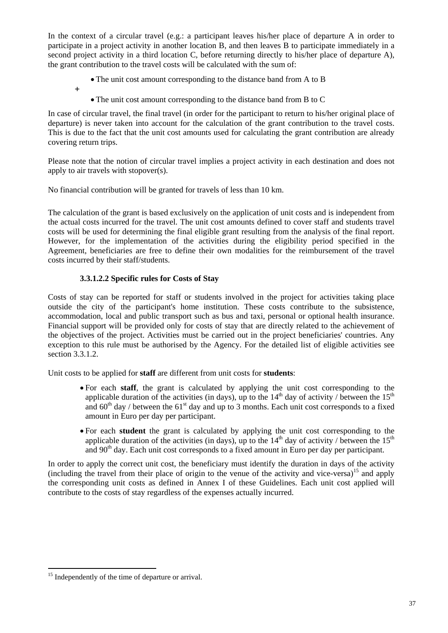In the context of a circular travel (e.g.: a participant leaves his/her place of departure A in order to participate in a project activity in another location B, and then leaves B to participate immediately in a second project activity in a third location C, before returning directly to his/her place of departure A), the grant contribution to the travel costs will be calculated with the sum of:

- The unit cost amount corresponding to the distance band from A to B
- **+** 
	- The unit cost amount corresponding to the distance band from B to C

In case of circular travel, the final travel (in order for the participant to return to his/her original place of departure) is never taken into account for the calculation of the grant contribution to the travel costs. This is due to the fact that the unit cost amounts used for calculating the grant contribution are already covering return trips.

Please note that the notion of circular travel implies a project activity in each destination and does not apply to air travels with stopover(s).

No financial contribution will be granted for travels of less than 10 km.

The calculation of the grant is based exclusively on the application of unit costs and is independent from the actual costs incurred for the travel. The unit cost amounts defined to cover staff and students travel costs will be used for determining the final eligible grant resulting from the analysis of the final report. However, for the implementation of the activities during the eligibility period specified in the Agreement, beneficiaries are free to define their own modalities for the reimbursement of the travel costs incurred by their staff/students.

#### **3.3.1.2.2 Specific rules for Costs of Stay**

Costs of stay can be reported for staff or students involved in the project for activities taking place outside the city of the participant's home institution. These costs contribute to the subsistence, accommodation, local and public transport such as bus and taxi, personal or optional health insurance. Financial support will be provided only for costs of stay that are directly related to the achievement of the objectives of the project. Activities must be carried out in the project beneficiaries' countries. Any exception to this rule must be authorised by the Agency. For the detailed list of eligible activities see section 3.3.1.2.

Unit costs to be applied for **staff** are different from unit costs for **students**:

- For each **staff**, the grant is calculated by applying the unit cost corresponding to the applicable duration of the activities (in days), up to the  $14<sup>th</sup>$  day of activity / between the  $15<sup>th</sup>$ and  $60<sup>th</sup>$  day / between the  $61<sup>st</sup>$  day and up to 3 months. Each unit cost corresponds to a fixed amount in Euro per day per participant.
- For each **student** the grant is calculated by applying the unit cost corresponding to the applicable duration of the activities (in days), up to the  $14<sup>th</sup>$  day of activity / between the  $15<sup>th</sup>$ and 90th day. Each unit cost corresponds to a fixed amount in Euro per day per participant.

In order to apply the correct unit cost, the beneficiary must identify the duration in days of the activity (including the travel from their place of origin to the venue of the activity and vice-versa)<sup>15</sup> and apply the corresponding unit costs as defined in Annex I of these Guidelines. Each unit cost applied will contribute to the costs of stay regardless of the expenses actually incurred.

1

<sup>&</sup>lt;sup>15</sup> Independently of the time of departure or arrival.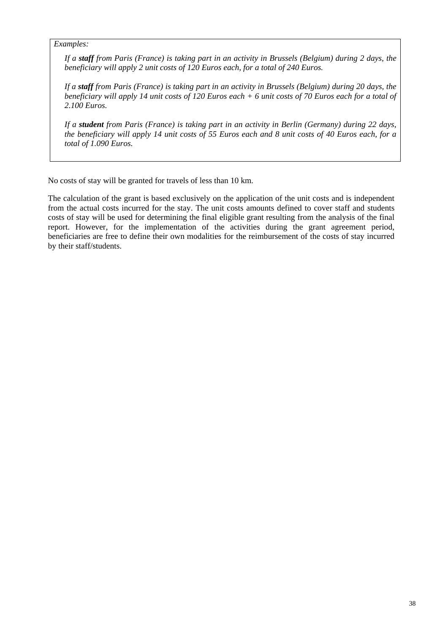#### *Examples:*

*If a staff from Paris (France) is taking part in an activity in Brussels (Belgium) during 2 days, the beneficiary will apply 2 unit costs of 120 Euros each, for a total of 240 Euros.* 

*If a staff from Paris (France) is taking part in an activity in Brussels (Belgium) during 20 days, the beneficiary will apply 14 unit costs of 120 Euros each + 6 unit costs of 70 Euros each for a total of 2.100 Euros.* 

*If a student from Paris (France) is taking part in an activity in Berlin (Germany) during 22 days, the beneficiary will apply 14 unit costs of 55 Euros each and 8 unit costs of 40 Euros each, for a total of 1.090 Euros.* 

No costs of stay will be granted for travels of less than 10 km.

The calculation of the grant is based exclusively on the application of the unit costs and is independent from the actual costs incurred for the stay. The unit costs amounts defined to cover staff and students costs of stay will be used for determining the final eligible grant resulting from the analysis of the final report. However, for the implementation of the activities during the grant agreement period, beneficiaries are free to define their own modalities for the reimbursement of the costs of stay incurred by their staff/students.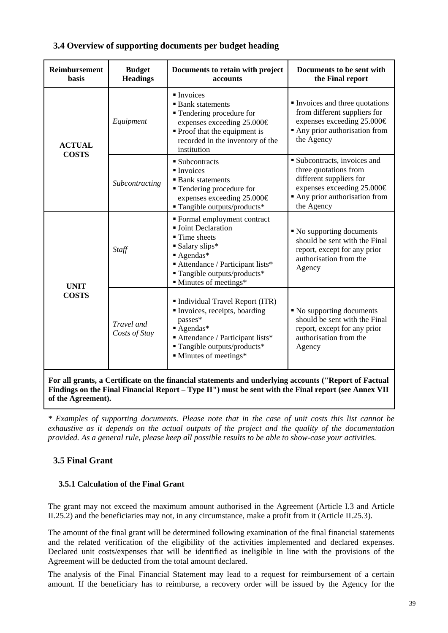<span id="page-38-0"></span>

| <b>Reimbursement</b><br><b>basis</b>                                                                                                                                                                          | <b>Budget</b><br><b>Headings</b> | Documents to retain with project<br>accounts                                                                                                                                                                         | Documents to be sent with<br>the Final report                                                                                                              |  |  |  |  |  |
|---------------------------------------------------------------------------------------------------------------------------------------------------------------------------------------------------------------|----------------------------------|----------------------------------------------------------------------------------------------------------------------------------------------------------------------------------------------------------------------|------------------------------------------------------------------------------------------------------------------------------------------------------------|--|--|--|--|--|
| <b>ACTUAL</b>                                                                                                                                                                                                 | Equipment                        | $\blacksquare$ Invoices<br><b>Bank</b> statements<br>■ Tendering procedure for<br>expenses exceeding 25.000€<br>• Proof that the equipment is<br>recorded in the inventory of the<br>institution                     | Invoices and three quotations<br>from different suppliers for<br>expenses exceeding 25.000€<br>Any prior authorisation from<br>the Agency                  |  |  |  |  |  |
| <b>COSTS</b><br>■ Subcontracts<br>$\blacksquare$ Invoices<br>Subcontracting                                                                                                                                   |                                  | <b>Bank</b> statements<br><b>Tendering procedure for</b><br>expenses exceeding 25.000€<br>$\blacksquare$ Tangible outputs/products*                                                                                  | Subcontracts, invoices and<br>three quotations from<br>different suppliers for<br>expenses exceeding 25.000€<br>Any prior authorisation from<br>the Agency |  |  |  |  |  |
| <b>UNIT</b>                                                                                                                                                                                                   | Staff                            | " Formal employment contract<br><b>Joint Declaration</b><br>■ Time sheets<br>• Salary slips*<br>$\blacksquare$ Agendas*<br>Attendance / Participant lists*<br>" Tangible outputs/products*<br>• Minutes of meetings* | • No supporting documents<br>should be sent with the Final<br>report, except for any prior<br>authorisation from the<br>Agency                             |  |  |  |  |  |
| <b>COSTS</b>                                                                                                                                                                                                  | Travel and<br>Costs of Stay      | Individual Travel Report (ITR)<br>Invoices, receipts, boarding<br>passes*<br>$A$ gendas*<br>Attendance / Participant lists*<br>" Tangible outputs/products*<br>$\blacksquare$ Minutes of meetings*                   | • No supporting documents<br>should be sent with the Final<br>report, except for any prior<br>authorisation from the<br>Agency                             |  |  |  |  |  |
| For all grants, a Certificate on the financial statements and underlying accounts ("Report of Factual<br>Findings on the Final Financial Report – Type II") must be sent with the Final report (see Annex VII |                                  |                                                                                                                                                                                                                      |                                                                                                                                                            |  |  |  |  |  |

#### **3.4 Overview of supporting documents per budget heading**

<span id="page-38-1"></span>*\* Examples of supporting documents. Please note that in the case of unit costs this list cannot be exhaustive as it depends on the actual outputs of the project and the quality of the documentation provided. As a general rule, please keep all possible results to be able to show-case your activities.* 

## <span id="page-38-2"></span>**3.5 Final Grant**

**of the Agreement).**

#### **3.5.1 Calculation of the Final Grant**

The grant may not exceed the maximum amount authorised in the Agreement (Article I.3 and Article II.25.2) and the beneficiaries may not, in any circumstance, make a profit from it (Article II.25.3).

The amount of the final grant will be determined following examination of the final financial statements and the related verification of the eligibility of the activities implemented and declared expenses. Declared unit costs/expenses that will be identified as ineligible in line with the provisions of the Agreement will be deducted from the total amount declared.

The analysis of the Final Financial Statement may lead to a request for reimbursement of a certain amount. If the beneficiary has to reimburse, a recovery order will be issued by the Agency for the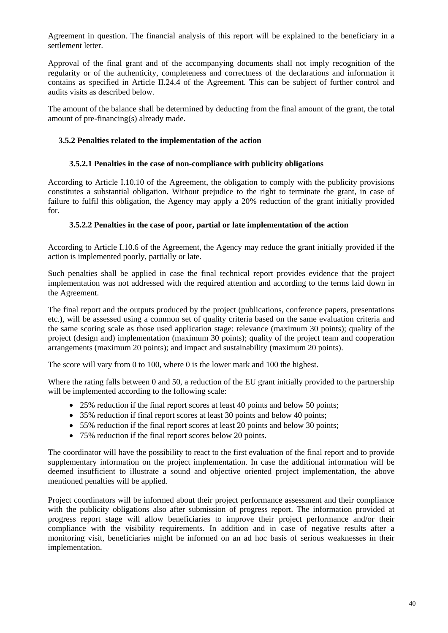Agreement in question. The financial analysis of this report will be explained to the beneficiary in a settlement letter.

Approval of the final grant and of the accompanying documents shall not imply recognition of the regularity or of the authenticity, completeness and correctness of the declarations and information it contains as specified in Article II.24.4 of the Agreement. This can be subject of further control and audits visits as described below.

<span id="page-39-0"></span>The amount of the balance shall be determined by deducting from the final amount of the grant, the total amount of pre-financing(s) already made.

#### **3.5.2 Penalties related to the implementation of the action**

#### **3.5.2.1 Penalties in the case of non-compliance with publicity obligations**

<span id="page-39-1"></span>According to Article I.10.10 of the Agreement, the obligation to comply with the publicity provisions constitutes a substantial obligation. Without prejudice to the right to terminate the grant, in case of failure to fulfil this obligation, the Agency may apply a 20% reduction of the grant initially provided for.

#### **3.5.2.2 Penalties in the case of poor, partial or late implementation of the action**

<span id="page-39-2"></span>According to Article I.10.6 of the Agreement, the Agency may reduce the grant initially provided if the action is implemented poorly, partially or late.

Such penalties shall be applied in case the final technical report provides evidence that the project implementation was not addressed with the required attention and according to the terms laid down in the Agreement.

The final report and the outputs produced by the project (publications, conference papers, presentations etc.), will be assessed using a common set of quality criteria based on the same evaluation criteria and the same scoring scale as those used application stage: relevance (maximum 30 points); quality of the project (design and) implementation (maximum 30 points); quality of the project team and cooperation arrangements (maximum 20 points); and impact and sustainability (maximum 20 points).

The score will vary from 0 to 100, where 0 is the lower mark and 100 the highest.

Where the rating falls between 0 and 50, a reduction of the EU grant initially provided to the partnership will be implemented according to the following scale:

- 25% reduction if the final report scores at least 40 points and below 50 points;
- 35% reduction if final report scores at least 30 points and below 40 points;
- 55% reduction if the final report scores at least 20 points and below 30 points:
- 75% reduction if the final report scores below 20 points.

The coordinator will have the possibility to react to the first evaluation of the final report and to provide supplementary information on the project implementation. In case the additional information will be deemed insufficient to illustrate a sound and objective oriented project implementation, the above mentioned penalties will be applied.

Project coordinators will be informed about their project performance assessment and their compliance with the publicity obligations also after submission of progress report. The information provided at progress report stage will allow beneficiaries to improve their project performance and/or their compliance with the visibility requirements. In addition and in case of negative results after a monitoring visit, beneficiaries might be informed on an ad hoc basis of serious weaknesses in their implementation.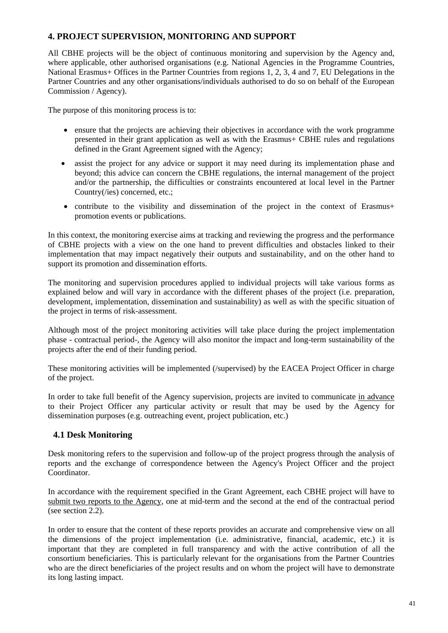## <span id="page-40-0"></span>**4. PROJECT SUPERVISION, MONITORING AND SUPPORT**

All CBHE projects will be the object of continuous monitoring and supervision by the Agency and, where applicable, other authorised organisations (e.g. National Agencies in the Programme Countries, National Erasmus+ Offices in the Partner Countries from regions 1, 2, 3, 4 and 7, EU Delegations in the Partner Countries and any other organisations/individuals authorised to do so on behalf of the European Commission / Agency).

The purpose of this monitoring process is to:

- ensure that the projects are achieving their objectives in accordance with the work programme presented in their grant application as well as with the Erasmus+ CBHE rules and regulations defined in the Grant Agreement signed with the Agency;
- assist the project for any advice or support it may need during its implementation phase and beyond; this advice can concern the CBHE regulations, the internal management of the project and/or the partnership, the difficulties or constraints encountered at local level in the Partner Country(/ies) concerned, etc.;
- contribute to the visibility and dissemination of the project in the context of Erasmus+ promotion events or publications.

In this context, the monitoring exercise aims at tracking and reviewing the progress and the performance of CBHE projects with a view on the one hand to prevent difficulties and obstacles linked to their implementation that may impact negatively their outputs and sustainability, and on the other hand to support its promotion and dissemination efforts.

The monitoring and supervision procedures applied to individual projects will take various forms as explained below and will vary in accordance with the different phases of the project (i.e. preparation, development, implementation, dissemination and sustainability) as well as with the specific situation of the project in terms of risk-assessment.

Although most of the project monitoring activities will take place during the project implementation phase - contractual period-, the Agency will also monitor the impact and long-term sustainability of the projects after the end of their funding period.

These monitoring activities will be implemented (/supervised) by the EACEA Project Officer in charge of the project.

In order to take full benefit of the Agency supervision, projects are invited to communicate in advance to their Project Officer any particular activity or result that may be used by the Agency for dissemination purposes (e.g. outreaching event, project publication, etc.)

## <span id="page-40-1"></span>**4.1 Desk Monitoring**

Desk monitoring refers to the supervision and follow-up of the project progress through the analysis of reports and the exchange of correspondence between the Agency's Project Officer and the project Coordinator.

In accordance with the requirement specified in the Grant Agreement, each CBHE project will have to submit two reports to the Agency, one at mid-term and the second at the end of the contractual period (see section 2.2).

In order to ensure that the content of these reports provides an accurate and comprehensive view on all the dimensions of the project implementation (i.e. administrative, financial, academic, etc.) it is important that they are completed in full transparency and with the active contribution of all the consortium beneficiaries. This is particularly relevant for the organisations from the Partner Countries who are the direct beneficiaries of the project results and on whom the project will have to demonstrate its long lasting impact.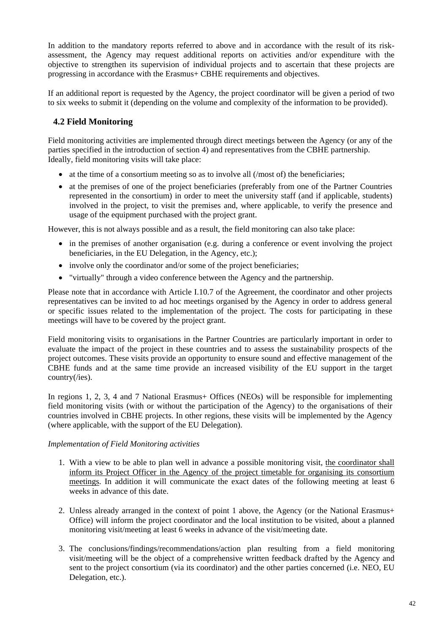In addition to the mandatory reports referred to above and in accordance with the result of its riskassessment, the Agency may request additional reports on activities and/or expenditure with the objective to strengthen its supervision of individual projects and to ascertain that these projects are progressing in accordance with the Erasmus+ CBHE requirements and objectives.

<span id="page-41-0"></span>If an additional report is requested by the Agency, the project coordinator will be given a period of two to six weeks to submit it (depending on the volume and complexity of the information to be provided).

## **4.2 Field Monitoring**

Field monitoring activities are implemented through direct meetings between the Agency (or any of the parties specified in the introduction of section 4) and representatives from the CBHE partnership. Ideally, field monitoring visits will take place:

- at the time of a consortium meeting so as to involve all (*/most* of) the beneficiaries;
- at the premises of one of the project beneficiaries (preferably from one of the Partner Countries represented in the consortium) in order to meet the university staff (and if applicable, students) involved in the project, to visit the premises and, where applicable, to verify the presence and usage of the equipment purchased with the project grant.

However, this is not always possible and as a result, the field monitoring can also take place:

- in the premises of another organisation (e.g. during a conference or event involving the project beneficiaries, in the EU Delegation, in the Agency, etc.);
- involve only the coordinator and/or some of the project beneficiaries;
- "virtually" through a video conference between the Agency and the partnership.

Please note that in accordance with Article I.10.7 of the Agreement, the coordinator and other projects representatives can be invited to ad hoc meetings organised by the Agency in order to address general or specific issues related to the implementation of the project. The costs for participating in these meetings will have to be covered by the project grant.

Field monitoring visits to organisations in the Partner Countries are particularly important in order to evaluate the impact of the project in these countries and to assess the sustainability prospects of the project outcomes. These visits provide an opportunity to ensure sound and effective management of the CBHE funds and at the same time provide an increased visibility of the EU support in the target country(/ies).

In regions 1, 2, 3, 4 and 7 National Erasmus+ Offices (NEOs) will be responsible for implementing field monitoring visits (with or without the participation of the Agency) to the organisations of their countries involved in CBHE projects. In other regions, these visits will be implemented by the Agency (where applicable, with the support of the EU Delegation).

#### *Implementation of Field Monitoring activities*

- 1. With a view to be able to plan well in advance a possible monitoring visit, the coordinator shall inform its Project Officer in the Agency of the project timetable for organising its consortium meetings. In addition it will communicate the exact dates of the following meeting at least 6 weeks in advance of this date.
- 2. Unless already arranged in the context of point 1 above, the Agency (or the National Erasmus+ Office) will inform the project coordinator and the local institution to be visited, about a planned monitoring visit/meeting at least 6 weeks in advance of the visit/meeting date.
- 3. The conclusions/findings/recommendations/action plan resulting from a field monitoring visit/meeting will be the object of a comprehensive written feedback drafted by the Agency and sent to the project consortium (via its coordinator) and the other parties concerned (i.e. NEO, EU Delegation, etc.).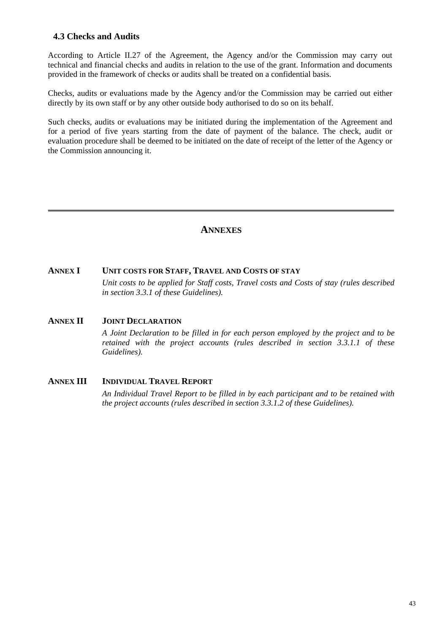## <span id="page-42-0"></span>**4.3 Checks and Audits**

According to Article II.27 of the Agreement, the Agency and/or the Commission may carry out technical and financial checks and audits in relation to the use of the grant. Information and documents provided in the framework of checks or audits shall be treated on a confidential basis.

Checks, audits or evaluations made by the Agency and/or the Commission may be carried out either directly by its own staff or by any other outside body authorised to do so on its behalf.

Such checks, audits or evaluations may be initiated during the implementation of the Agreement and for a period of five years starting from the date of payment of the balance. The check, audit or evaluation procedure shall be deemed to be initiated on the date of receipt of the letter of the Agency or the Commission announcing it.

## **ANNEXES**

\_\_\_\_\_\_\_\_\_\_\_\_\_\_\_\_\_\_\_\_\_\_\_\_\_\_\_\_\_\_\_\_\_\_\_\_\_\_\_\_\_\_\_\_\_\_\_\_\_\_\_\_\_\_\_\_\_\_\_\_\_\_\_\_\_\_\_\_\_\_\_\_\_\_\_\_\_\_\_\_\_\_\_\_\_\_\_\_\_\_\_\_

#### <span id="page-42-1"></span>**ANNEX I UNIT COSTS FOR STAFF, TRAVEL AND COSTS OF STAY**

*Unit costs to be applied for Staff costs, Travel costs and Costs of stay (rules described in section 3.3.1 of these Guidelines).* 

#### <span id="page-42-2"></span>**ANNEX II JOINT DECLARATION**

*A Joint Declaration to be filled in for each person employed by the project and to be retained with the project accounts (rules described in section 3.3.1.1 of these Guidelines).* 

#### <span id="page-42-3"></span>**ANNEX III INDIVIDUAL TRAVEL REPORT**

*An Individual Travel Report to be filled in by each participant and to be retained with the project accounts (rules described in section 3.3.1.2 of these Guidelines).*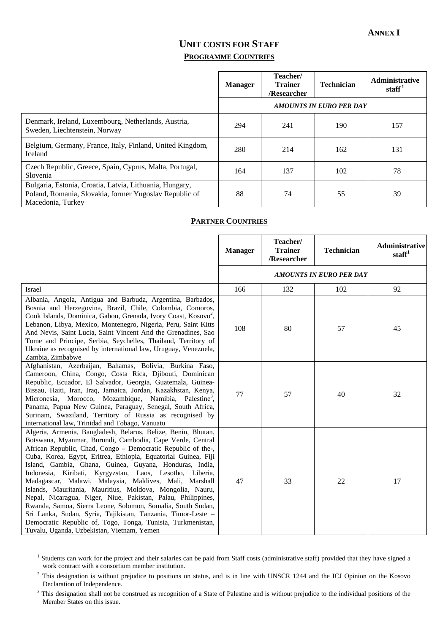## **UNIT COSTS FOR STAFF PROGRAMME COUNTRIES**

|                                                                                                                                        | <b>Manager</b> | Teacher/<br><b>Trainer</b><br>/Researcher | <b>Technician</b>              | <b>Administrative</b><br>staff <sup>1</sup> |
|----------------------------------------------------------------------------------------------------------------------------------------|----------------|-------------------------------------------|--------------------------------|---------------------------------------------|
|                                                                                                                                        |                |                                           | <b>AMOUNTS IN EURO PER DAY</b> |                                             |
| Denmark, Ireland, Luxembourg, Netherlands, Austria,<br>Sweden, Liechtenstein, Norway                                                   | 294            | 241                                       | 190                            | 157                                         |
| Belgium, Germany, France, Italy, Finland, United Kingdom,<br><b>Iceland</b>                                                            | 280            | 214                                       | 162                            | 131                                         |
| Czech Republic, Greece, Spain, Cyprus, Malta, Portugal,<br>Slovenia                                                                    | 164            | 137                                       | 102                            | 78                                          |
| Bulgaria, Estonia, Croatia, Latvia, Lithuania, Hungary,<br>Poland, Romania, Slovakia, former Yugoslav Republic of<br>Macedonia, Turkey | 88             | 74                                        | 55                             | 39                                          |

#### **PARTNER COUNTRIES**

|                                                                                                                                                                                                                                                                                                                                                                                                                                                                                                                                                                                                                                                                                                                                                                                                                        | <b>Manager</b> | Teacher/<br><b>Trainer</b><br>/Researcher | <b>Technician</b>              | <b>Administrative</b><br>statf <sup>1</sup> |
|------------------------------------------------------------------------------------------------------------------------------------------------------------------------------------------------------------------------------------------------------------------------------------------------------------------------------------------------------------------------------------------------------------------------------------------------------------------------------------------------------------------------------------------------------------------------------------------------------------------------------------------------------------------------------------------------------------------------------------------------------------------------------------------------------------------------|----------------|-------------------------------------------|--------------------------------|---------------------------------------------|
|                                                                                                                                                                                                                                                                                                                                                                                                                                                                                                                                                                                                                                                                                                                                                                                                                        |                |                                           | <b>AMOUNTS IN EURO PER DAY</b> |                                             |
| Israel                                                                                                                                                                                                                                                                                                                                                                                                                                                                                                                                                                                                                                                                                                                                                                                                                 | 166            | 132                                       | 102                            | 92                                          |
| Albania, Angola, Antigua and Barbuda, Argentina, Barbados,<br>Bosnia and Herzegovina, Brazil, Chile, Colombia, Comoros,<br>Cook Islands, Dominica, Gabon, Grenada, Ivory Coast, Kosovo <sup>2</sup> ,<br>Lebanon, Libya, Mexico, Montenegro, Nigeria, Peru, Saint Kitts<br>And Nevis, Saint Lucia, Saint Vincent And the Grenadines, Sao<br>Tome and Principe, Serbia, Seychelles, Thailand, Territory of<br>Ukraine as recognised by international law, Uruguay, Venezuela,<br>Zambia, Zimbabwe                                                                                                                                                                                                                                                                                                                       | 108            | 80                                        | 57                             | 45                                          |
| Afghanistan, Azerbaijan, Bahamas, Bolivia, Burkina Faso,<br>Cameroon, China, Congo, Costa Rica, Djibouti, Dominican<br>Republic, Ecuador, El Salvador, Georgia, Guatemala, Guinea-<br>Bissau, Haiti, Iran, Iraq, Jamaica, Jordan, Kazakhstan, Kenya,<br>Micronesia, Morocco, Mozambique, Namibia, Palestine <sup>3</sup> ,<br>Panama, Papua New Guinea, Paraguay, Senegal, South Africa,<br>Surinam, Swaziland, Territory of Russia as recognised by<br>international law, Trinidad and Tobago, Vanuatu                                                                                                                                                                                                                                                                                                                | 77             | 57                                        | 40                             | 32                                          |
| Algeria, Armenia, Bangladesh, Belarus, Belize, Benin, Bhutan,<br>Botswana, Myanmar, Burundi, Cambodia, Cape Verde, Central<br>African Republic, Chad, Congo - Democratic Republic of the-,<br>Cuba, Korea, Egypt, Eritrea, Ethiopia, Equatorial Guinea, Fiji<br>Island, Gambia, Ghana, Guinea, Guyana, Honduras, India,<br>Indonesia, Kiribati, Kyrgyzstan, Laos, Lesotho, Liberia,<br>Madagascar, Malawi, Malaysia, Maldives, Mali, Marshall<br>Islands, Mauritania, Mauritius, Moldova, Mongolia, Nauru,<br>Nepal, Nicaragua, Niger, Niue, Pakistan, Palau, Philippines,<br>Rwanda, Samoa, Sierra Leone, Solomon, Somalia, South Sudan,<br>Sri Lanka, Sudan, Syria, Tajikistan, Tanzania, Timor-Leste -<br>Democratic Republic of, Togo, Tonga, Tunisia, Turkmenistan,<br>Tuvalu, Uganda, Uzbekistan, Vietnam, Yemen | 47             | 33                                        | 22                             | 17                                          |

<sup>&</sup>lt;sup>1</sup> Students can work for the project and their salaries can be paid from Staff costs (administrative staff) provided that they have signed a <sup>1</sup> work contract with a consortium member institution.

 $2$  This designation is without prejudice to positions on status, and is in line with UNSCR 1244 and the ICJ Opinion on the Kosovo Declaration of Independence.

 $3$  This designation shall not be construed as recognition of a State of Palestine and is without prejudice to the individual positions of the Member States on this issue.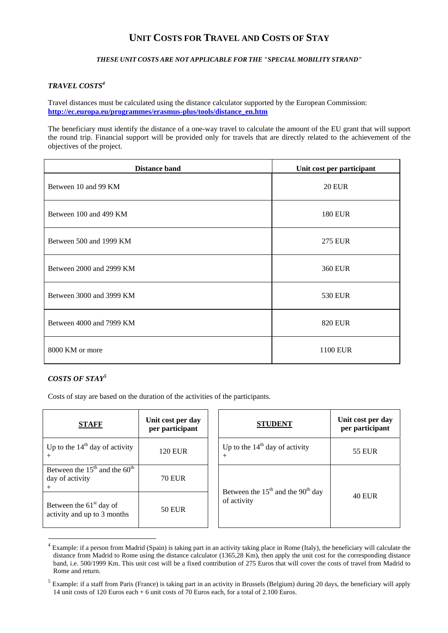## **UNIT COSTS FOR TRAVEL AND COSTS OF STAY**

#### *THESE UNIT COSTS ARE NOT APPLICABLE FOR THE "SPECIAL MOBILITY STRAND"*

#### *TRAVEL COSTS4*

Travel distances must be calculated using the distance calculator supported by the European Commission: **[http://ec.europa.eu/programmes/erasmus-plus/tools/distance\\_en.htm](http://ec.europa.eu/programmes/erasmus-plus/tools/distance_en.htm)** 

The beneficiary must identify the distance of a one-way travel to calculate the amount of the EU grant that will support the round trip. Financial support will be provided only for travels that are directly related to the achievement of the objectives of the project.

| <b>Distance band</b>     | Unit cost per participant |
|--------------------------|---------------------------|
| Between 10 and 99 KM     | <b>20 EUR</b>             |
| Between 100 and 499 KM   | <b>180 EUR</b>            |
| Between 500 and 1999 KM  | <b>275 EUR</b>            |
| Between 2000 and 2999 KM | <b>360 EUR</b>            |
| Between 3000 and 3999 KM | 530 EUR                   |
| Between 4000 and 7999 KM | <b>820 EUR</b>            |
| 8000 KM or more          | <b>1100 EUR</b>           |

#### *COSTS OF STAY<sup>5</sup>*

1

Costs of stay are based on the duration of the activities of the participants.

| <b>STAFF</b>                                             | Unit cost per day<br>per participant | <b>STUDENT</b>                                  | Unit cost per day<br>per participant |
|----------------------------------------------------------|--------------------------------------|-------------------------------------------------|--------------------------------------|
| Up to the $14th$ day of activity                         | 120 EUR                              | Up to the $14th$ day of activity<br>$+$         | <b>55 EUR</b>                        |
| Between the $15th$ and the $60th$<br>day of activity     | <b>70 EUR</b>                        | Between the $15th$ and the 90 <sup>th</sup> day |                                      |
| Between the $61st$ day of<br>activity and up to 3 months | <b>50 EUR</b>                        | of activity                                     | <b>40 EUR</b>                        |

<sup>&</sup>lt;sup>4</sup> Example: if a person from Madrid (Spain) is taking part in an activity taking place in Rome (Italy), the beneficiary will calculate the distance from Madrid to Rome using the distance calculator (1365,28 Km), then apply the unit cost for the corresponding distance band, i.e. 500/1999 Km. This unit cost will be a fixed contribution of 275 Euros that will cover the costs of travel from Madrid to Rome and return.

<sup>&</sup>lt;sup>5</sup> Example: if a staff from Paris (France) is taking part in an activity in Brussels (Belgium) during 20 days, the beneficiary will apply 14 unit costs of 120 Euros each + 6 unit costs of 70 Euros each, for a total of 2.100 Euros.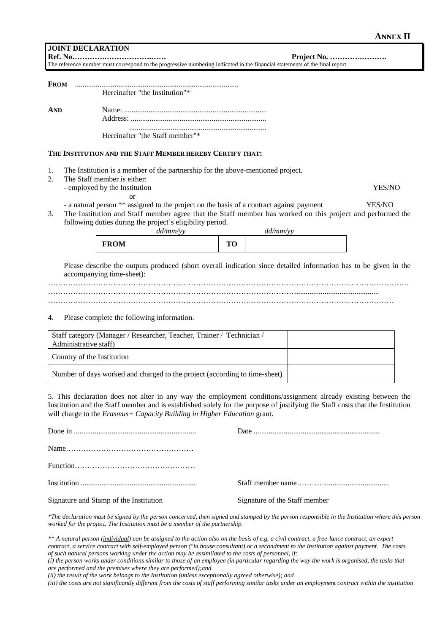#### **ANNEX II**

**Ref. No………….……………….…… Project No. ………….……….** 

The reference number must correspond to the progressive numbering indicated in the financial statements of the final report

| <b>FROM</b>                                                     |                               |             |                                                                                                                  |                                                                                                                     |  |  |        |  |  |  |
|-----------------------------------------------------------------|-------------------------------|-------------|------------------------------------------------------------------------------------------------------------------|---------------------------------------------------------------------------------------------------------------------|--|--|--------|--|--|--|
|                                                                 |                               |             | Hereinafter "the Institution"*                                                                                   |                                                                                                                     |  |  |        |  |  |  |
| <b>AND</b>                                                      |                               |             |                                                                                                                  |                                                                                                                     |  |  |        |  |  |  |
|                                                                 |                               |             |                                                                                                                  |                                                                                                                     |  |  |        |  |  |  |
|                                                                 |                               |             | Hereinafter "the Staff member"*                                                                                  |                                                                                                                     |  |  |        |  |  |  |
|                                                                 |                               |             | THE INSTITUTION AND THE STAFF MEMBER HEREBY CERTIFY THAT:                                                        |                                                                                                                     |  |  |        |  |  |  |
| 1.<br>2.                                                        | The Staff member is either:   |             | The Institution is a member of the partnership for the above-mentioned project.                                  |                                                                                                                     |  |  |        |  |  |  |
|                                                                 | - employed by the Institution |             |                                                                                                                  |                                                                                                                     |  |  | YES/NO |  |  |  |
| 3.<br>following duties during the project's eligibility period. |                               | or          | - a natural person ** assigned to the project on the basis of a contract against payment<br>dd/mm/yy             | YES/NO<br>The Institution and Staff member agree that the Staff member has worked on this project and performed the |  |  |        |  |  |  |
|                                                                 |                               | <b>FROM</b> |                                                                                                                  | <b>TO</b>                                                                                                           |  |  |        |  |  |  |
|                                                                 | accompanying time-sheet):     |             | Please describe the outputs produced (short overall indication since detailed information has to be given in the |                                                                                                                     |  |  |        |  |  |  |
|                                                                 |                               |             |                                                                                                                  |                                                                                                                     |  |  |        |  |  |  |
| 4.                                                              |                               |             | Please complete the following information.                                                                       |                                                                                                                     |  |  |        |  |  |  |
|                                                                 | Administrative staff)         |             | Staff category (Manager / Researcher, Teacher, Trainer / Technician /                                            |                                                                                                                     |  |  |        |  |  |  |
|                                                                 | Country of the Institution    |             |                                                                                                                  |                                                                                                                     |  |  |        |  |  |  |

Number of days worked and charged to the project (according to time-sheet)

5. This declaration does not alter in any way the employment conditions/assignment already existing between the Institution and the Staff member and is established solely for the purpose of justifying the Staff costs that the Institution will charge to the *Erasmus+ Capacity Building in Higher Education* grant.

| Signature and Stamp of the Institution | Signature of the Staff member |
|----------------------------------------|-------------------------------|

*\*The declaration must be signed by the person concerned, then signed and stamped by the person responsible in the Institution where this person worked for the project. The Institution must be a member of the partnership.* 

*\*\* A natural person (individual) can be assigned to the action also on the basis of e.g. a civil contract, a free-lance contract, an expert contract, a service contract with self-employed person ("in house consultant) or a secondment to the Institution against payment. The costs of such natural persons working under the action may be assimilated to the costs of personnel, if:* 

*(i) the person works under conditions similar to those of an employee (in particular regarding the way the work is organised, the tasks that are performed and the premises where they are performed);and* 

*(ii) the result of the work belongs to the Institution (unless exceptionally agreed otherwise); and* 

*(iii) the costs are not significantly different from the costs of staff performing similar tasks under an employment contract within the institution*